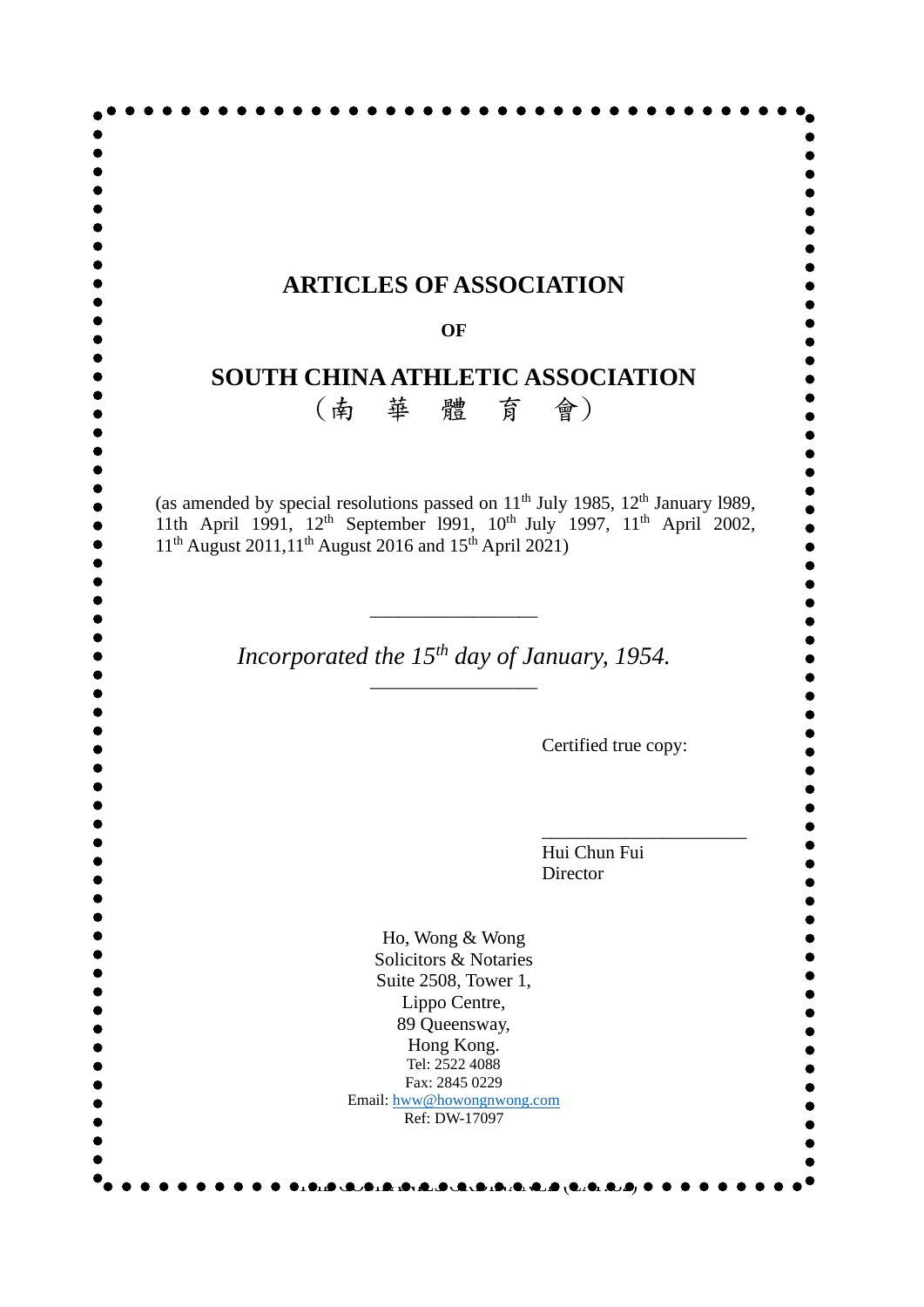|                                                                                            |           | <b>ARTICLES OF ASSOCIATION</b>                                                                             |
|--------------------------------------------------------------------------------------------|-----------|------------------------------------------------------------------------------------------------------------|
|                                                                                            | <b>OF</b> |                                                                                                            |
|                                                                                            |           | <b>SOUTH CHINA ATHLETIC ASSOCIATION</b>                                                                    |
|                                                                                            |           | (南華 體 育 會)                                                                                                 |
| 11 <sup>th</sup> August 2011,11 <sup>th</sup> August 2016 and 15 <sup>th</sup> April 2021) |           | 11th April 1991, 12 <sup>th</sup> September 1991, 10 <sup>th</sup> July 1997, 11 <sup>th</sup> April 2002, |
|                                                                                            |           | Incorporated the $15^{th}$ day of January, 1954.                                                           |
|                                                                                            |           | Certified true copy:                                                                                       |
|                                                                                            |           |                                                                                                            |
|                                                                                            |           | Hui Chun Fui<br>Director                                                                                   |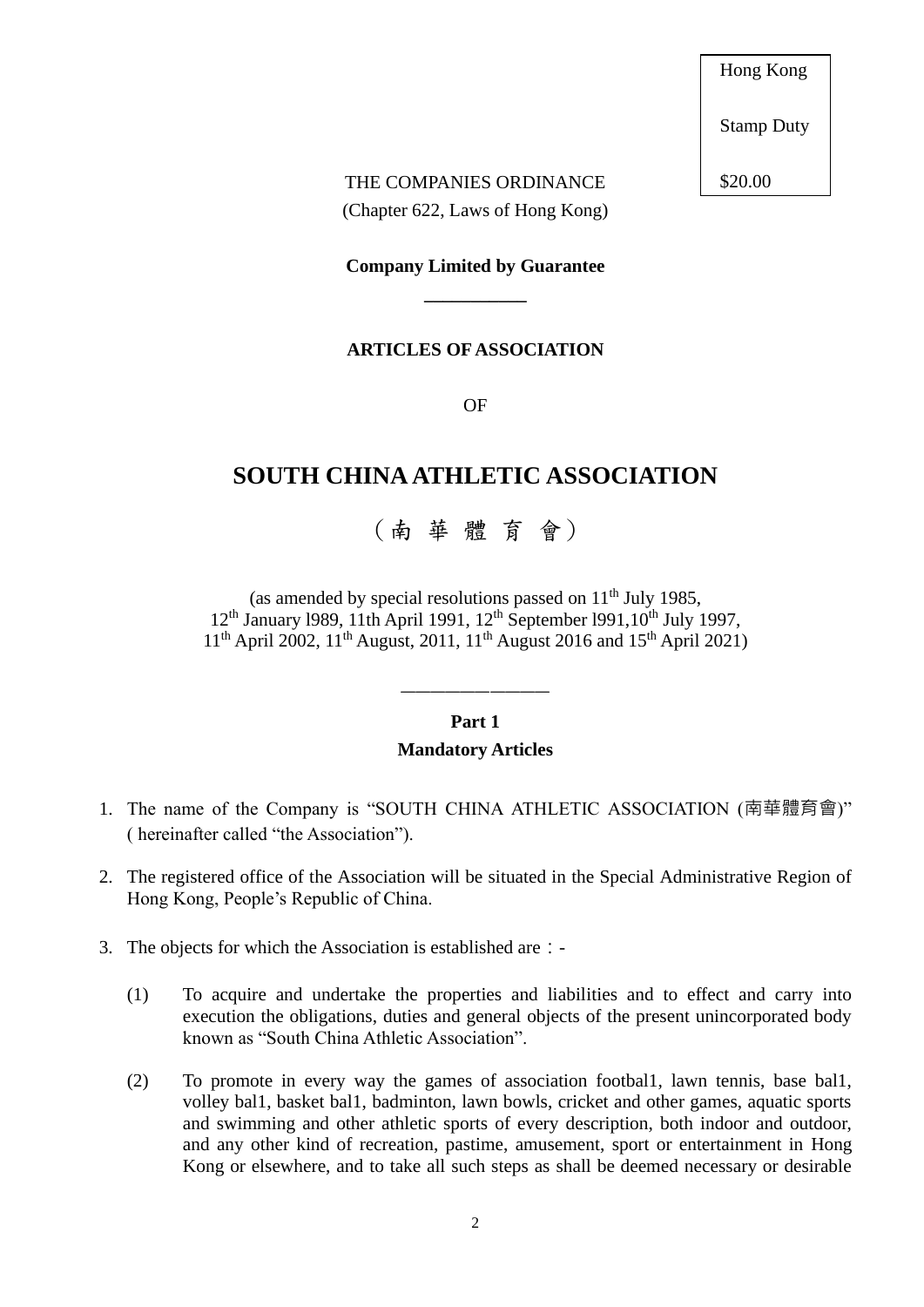Hong Kong

Stamp Duty

\$20.00

## THE COMPANIES ORDINANCE (Chapter 622, Laws of Hong Kong)

# **Company Limited by Guarantee \_\_\_\_\_\_\_\_\_\_\_**

### **ARTICLES OF ASSOCIATION**

OF

# **SOUTH CHINA ATHLETIC ASSOCIATION**

# (南 華 體 育 會)

(as amended by special resolutions passed on  $11<sup>th</sup>$  July 1985,  $12<sup>th</sup>$  January 1989, 11th April 1991, 12<sup>th</sup> September 1991,10<sup>th</sup> July 1997, 11<sup>th</sup> April 2002, 11<sup>th</sup> August, 2011, 11<sup>th</sup> August 2016 and 15<sup>th</sup> April 2021)

### **Part 1 Mandatory Articles**

- 1. The name of the Company is "SOUTH CHINA ATHLETIC ASSOCIATION (南華體育會)" ( hereinafter called "the Association").
- 2. The registered office of the Association will be situated in the Special Administrative Region of Hong Kong, People's Republic of China.
- 3. The objects for which the Association is established are: -
	- (1) To acquire and undertake the properties and liabilities and to effect and carry into execution the obligations, duties and general objects of the present unincorporated body known as "South China Athletic Association".
	- (2) To promote in every way the games of association footbal1, lawn tennis, base bal1, volley bal1, basket bal1, badminton, lawn bowls, cricket and other games, aquatic sports and swimming and other athletic sports of every description, both indoor and outdoor, and any other kind of recreation, pastime, amusement, sport or entertainment in Hong Kong or elsewhere, and to take all such steps as shall be deemed necessary or desirable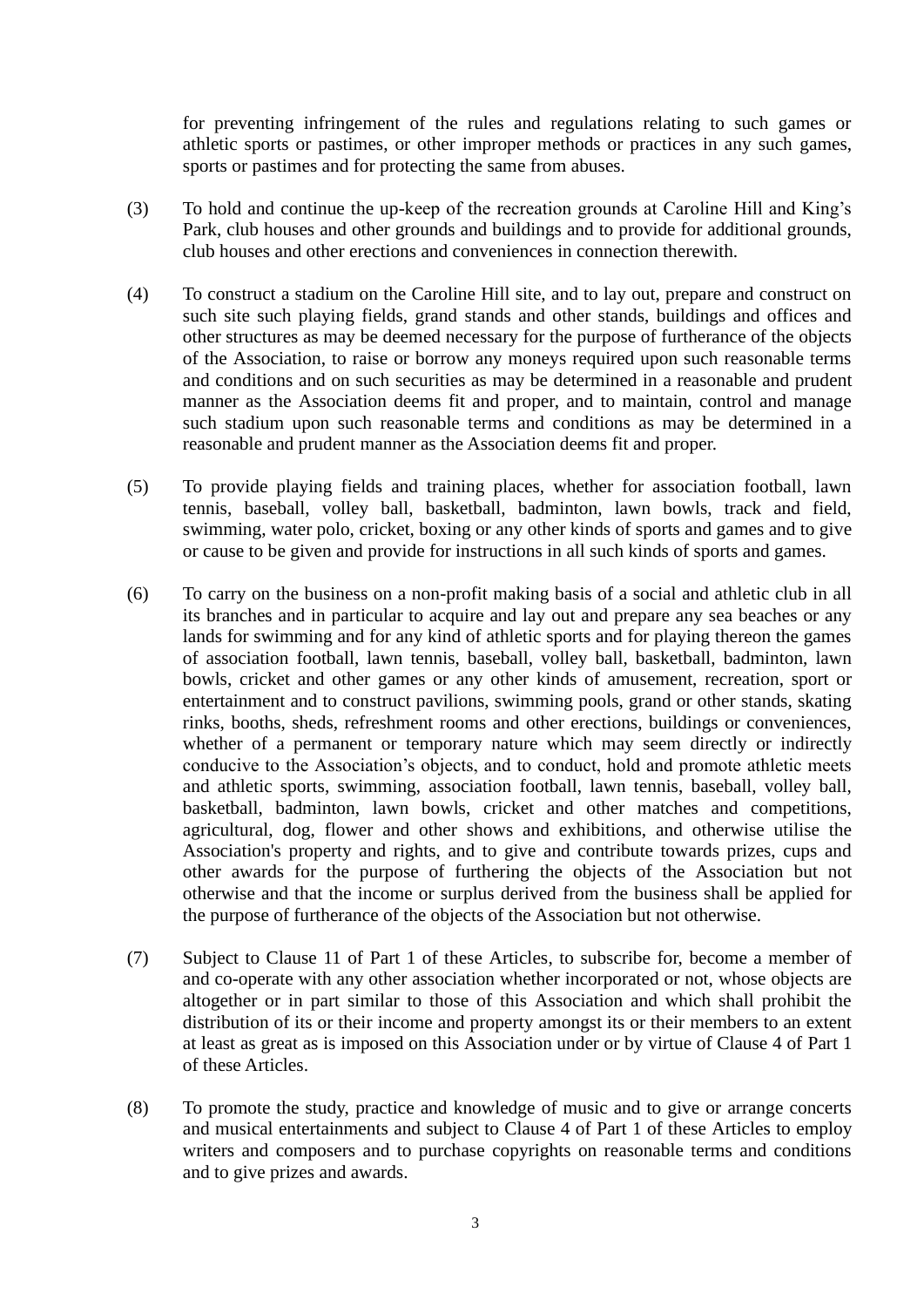for preventing infringement of the rules and regulations relating to such games or athletic sports or pastimes, or other improper methods or practices in any such games, sports or pastimes and for protecting the same from abuses.

- (3) To hold and continue the up-keep of the recreation grounds at Caroline Hill and King's Park, club houses and other grounds and buildings and to provide for additional grounds, club houses and other erections and conveniences in connection therewith.
- (4) To construct a stadium on the Caroline Hill site, and to lay out, prepare and construct on such site such playing fields, grand stands and other stands, buildings and offices and other structures as may be deemed necessary for the purpose of furtherance of the objects of the Association, to raise or borrow any moneys required upon such reasonable terms and conditions and on such securities as may be determined in a reasonable and prudent manner as the Association deems fit and proper, and to maintain, control and manage such stadium upon such reasonable terms and conditions as may be determined in a reasonable and prudent manner as the Association deems fit and proper.
- (5) To provide playing fields and training places, whether for association football, lawn tennis, baseball, volley ball, basketball, badminton, lawn bowls, track and field, swimming, water polo, cricket, boxing or any other kinds of sports and games and to give or cause to be given and provide for instructions in all such kinds of sports and games.
- (6) To carry on the business on a non-profit making basis of a social and athletic club in all its branches and in particular to acquire and lay out and prepare any sea beaches or any lands for swimming and for any kind of athletic sports and for playing thereon the games of association football, lawn tennis, baseball, volley ball, basketball, badminton, lawn bowls, cricket and other games or any other kinds of amusement, recreation, sport or entertainment and to construct pavilions, swimming pools, grand or other stands, skating rinks, booths, sheds, refreshment rooms and other erections, buildings or conveniences, whether of a permanent or temporary nature which may seem directly or indirectly conducive to the Association's objects, and to conduct, hold and promote athletic meets and athletic sports, swimming, association football, lawn tennis, baseball, volley ball, basketball, badminton, lawn bowls, cricket and other matches and competitions, agricultural, dog, flower and other shows and exhibitions, and otherwise utilise the Association's property and rights, and to give and contribute towards prizes, cups and other awards for the purpose of furthering the objects of the Association but not otherwise and that the income or surplus derived from the business shall be applied for the purpose of furtherance of the objects of the Association but not otherwise.
- (7) Subject to Clause 11 of Part 1 of these Articles, to subscribe for, become a member of and co-operate with any other association whether incorporated or not, whose objects are altogether or in part similar to those of this Association and which shall prohibit the distribution of its or their income and property amongst its or their members to an extent at least as great as is imposed on this Association under or by virtue of Clause 4 of Part 1 of these Articles.
- (8) To promote the study, practice and knowledge of music and to give or arrange concerts and musical entertainments and subject to Clause 4 of Part 1 of these Articles to employ writers and composers and to purchase copyrights on reasonable terms and conditions and to give prizes and awards.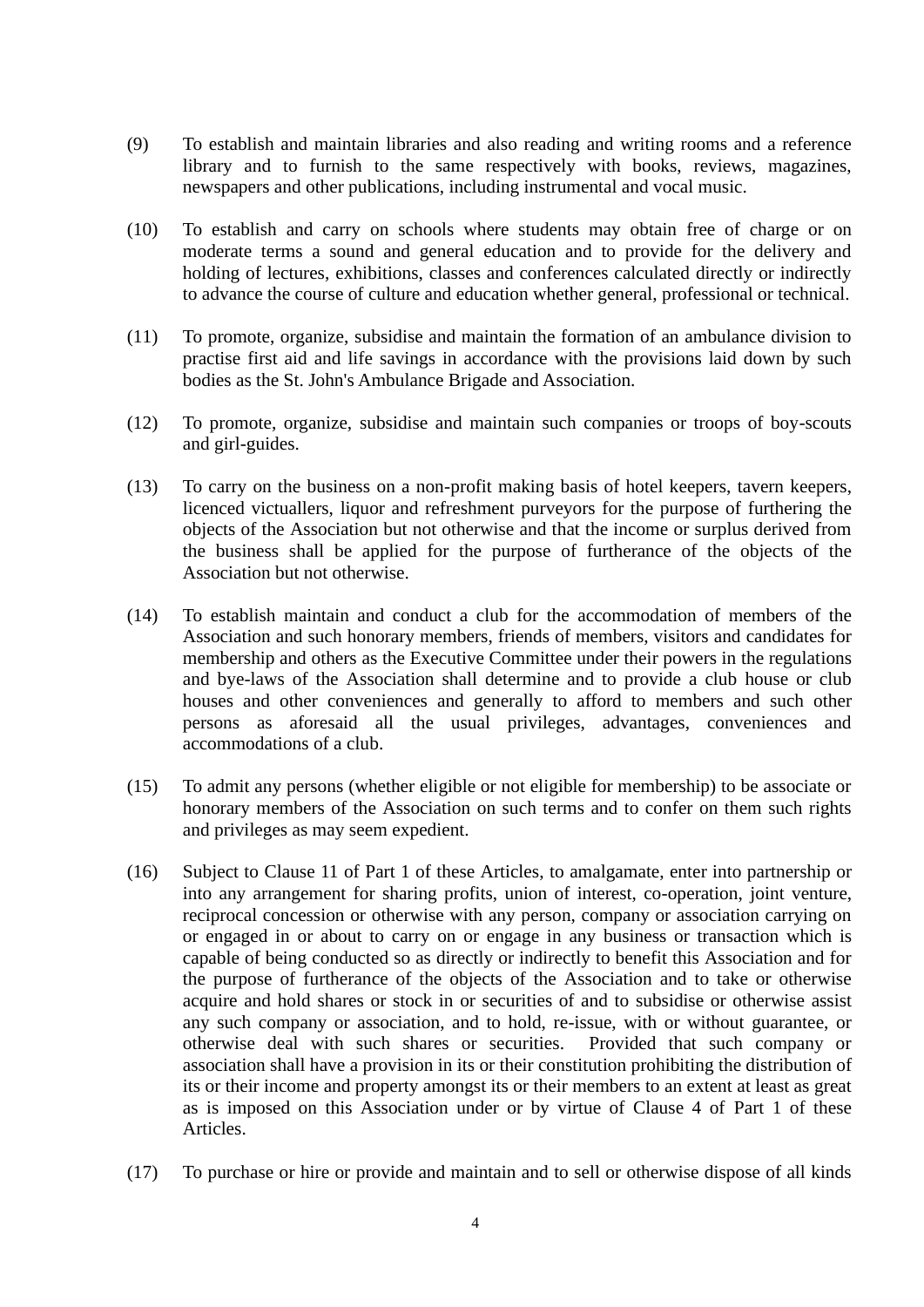- (9) To establish and maintain libraries and also reading and writing rooms and a reference library and to furnish to the same respectively with books, reviews, magazines, newspapers and other publications, including instrumental and vocal music.
- (10) To establish and carry on schools where students may obtain free of charge or on moderate terms a sound and general education and to provide for the delivery and holding of lectures, exhibitions, classes and conferences calculated directly or indirectly to advance the course of culture and education whether general, professional or technical.
- (11) To promote, organize, subsidise and maintain the formation of an ambulance division to practise first aid and life savings in accordance with the provisions laid down by such bodies as the St. John's Ambulance Brigade and Association.
- (12) To promote, organize, subsidise and maintain such companies or troops of boy-scouts and girl-guides.
- (13) To carry on the business on a non-profit making basis of hotel keepers, tavern keepers, licenced victuallers, liquor and refreshment purveyors for the purpose of furthering the objects of the Association but not otherwise and that the income or surplus derived from the business shall be applied for the purpose of furtherance of the objects of the Association but not otherwise.
- (14) To establish maintain and conduct a club for the accommodation of members of the Association and such honorary members, friends of members, visitors and candidates for membership and others as the Executive Committee under their powers in the regulations and bye-laws of the Association shall determine and to provide a club house or club houses and other conveniences and generally to afford to members and such other persons as aforesaid all the usual privileges, advantages, conveniences and accommodations of a club.
- (15) To admit any persons (whether eligible or not eligible for membership) to be associate or honorary members of the Association on such terms and to confer on them such rights and privileges as may seem expedient.
- (16) Subject to Clause 11 of Part 1 of these Articles, to amalgamate, enter into partnership or into any arrangement for sharing profits, union of interest, co-operation, joint venture, reciprocal concession or otherwise with any person, company or association carrying on or engaged in or about to carry on or engage in any business or transaction which is capable of being conducted so as directly or indirectly to benefit this Association and for the purpose of furtherance of the objects of the Association and to take or otherwise acquire and hold shares or stock in or securities of and to subsidise or otherwise assist any such company or association, and to hold, re-issue, with or without guarantee, or otherwise deal with such shares or securities. Provided that such company or association shall have a provision in its or their constitution prohibiting the distribution of its or their income and property amongst its or their members to an extent at least as great as is imposed on this Association under or by virtue of Clause 4 of Part 1 of these Articles.
- (17) To purchase or hire or provide and maintain and to sell or otherwise dispose of all kinds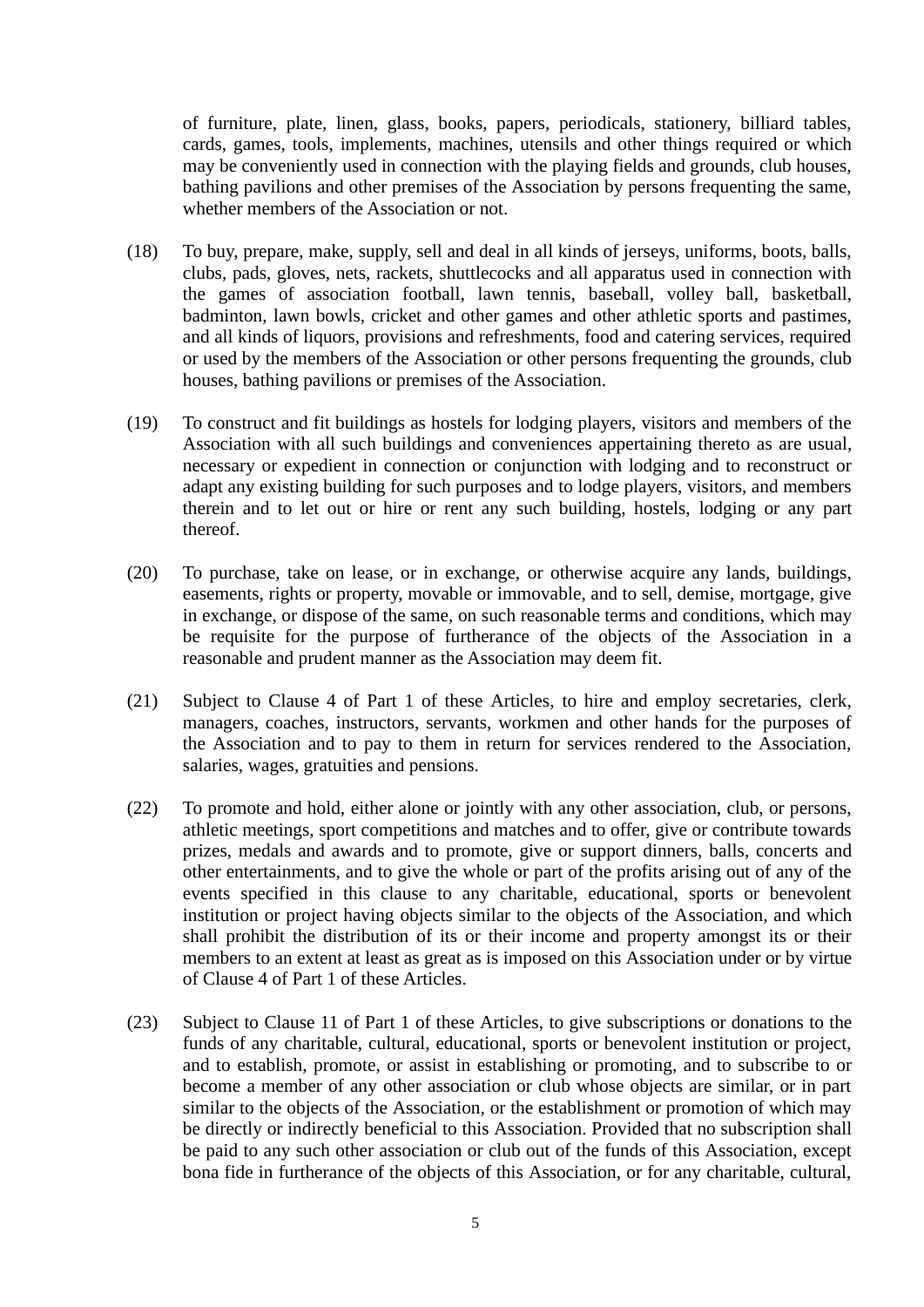of furniture, plate, linen, glass, books, papers, periodicals, stationery, billiard tables, cards, games, tools, implements, machines, utensils and other things required or which may be conveniently used in connection with the playing fields and grounds, club houses, bathing pavilions and other premises of the Association by persons frequenting the same, whether members of the Association or not.

- (18) To buy, prepare, make, supply, sell and deal in all kinds of jerseys, uniforms, boots, balls, clubs, pads, gloves, nets, rackets, shuttlecocks and all apparatus used in connection with the games of association football, lawn tennis, baseball, volley ball, basketball, badminton, lawn bowls, cricket and other games and other athletic sports and pastimes, and all kinds of liquors, provisions and refreshments, food and catering services, required or used by the members of the Association or other persons frequenting the grounds, club houses, bathing pavilions or premises of the Association.
- (19) To construct and fit buildings as hostels for lodging players, visitors and members of the Association with all such buildings and conveniences appertaining thereto as are usual, necessary or expedient in connection or conjunction with lodging and to reconstruct or adapt any existing building for such purposes and to lodge players, visitors, and members therein and to let out or hire or rent any such building, hostels, lodging or any part thereof.
- (20) To purchase, take on lease, or in exchange, or otherwise acquire any lands, buildings, easements, rights or property, movable or immovable, and to sell, demise, mortgage, give in exchange, or dispose of the same, on such reasonable terms and conditions, which may be requisite for the purpose of furtherance of the objects of the Association in a reasonable and prudent manner as the Association may deem fit.
- (21) Subject to Clause 4 of Part 1 of these Articles, to hire and employ secretaries, clerk, managers, coaches, instructors, servants, workmen and other hands for the purposes of the Association and to pay to them in return for services rendered to the Association, salaries, wages, gratuities and pensions.
- (22) To promote and hold, either alone or jointly with any other association, club, or persons, athletic meetings, sport competitions and matches and to offer, give or contribute towards prizes, medals and awards and to promote, give or support dinners, balls, concerts and other entertainments, and to give the whole or part of the profits arising out of any of the events specified in this clause to any charitable, educational, sports or benevolent institution or project having objects similar to the objects of the Association, and which shall prohibit the distribution of its or their income and property amongst its or their members to an extent at least as great as is imposed on this Association under or by virtue of Clause 4 of Part 1 of these Articles.
- (23) Subject to Clause 11 of Part 1 of these Articles, to give subscriptions or donations to the funds of any charitable, cultural, educational, sports or benevolent institution or project, and to establish, promote, or assist in establishing or promoting, and to subscribe to or become a member of any other association or club whose objects are similar, or in part similar to the objects of the Association, or the establishment or promotion of which may be directly or indirectly beneficial to this Association. Provided that no subscription shall be paid to any such other association or club out of the funds of this Association, except bona fide in furtherance of the objects of this Association, or for any charitable, cultural,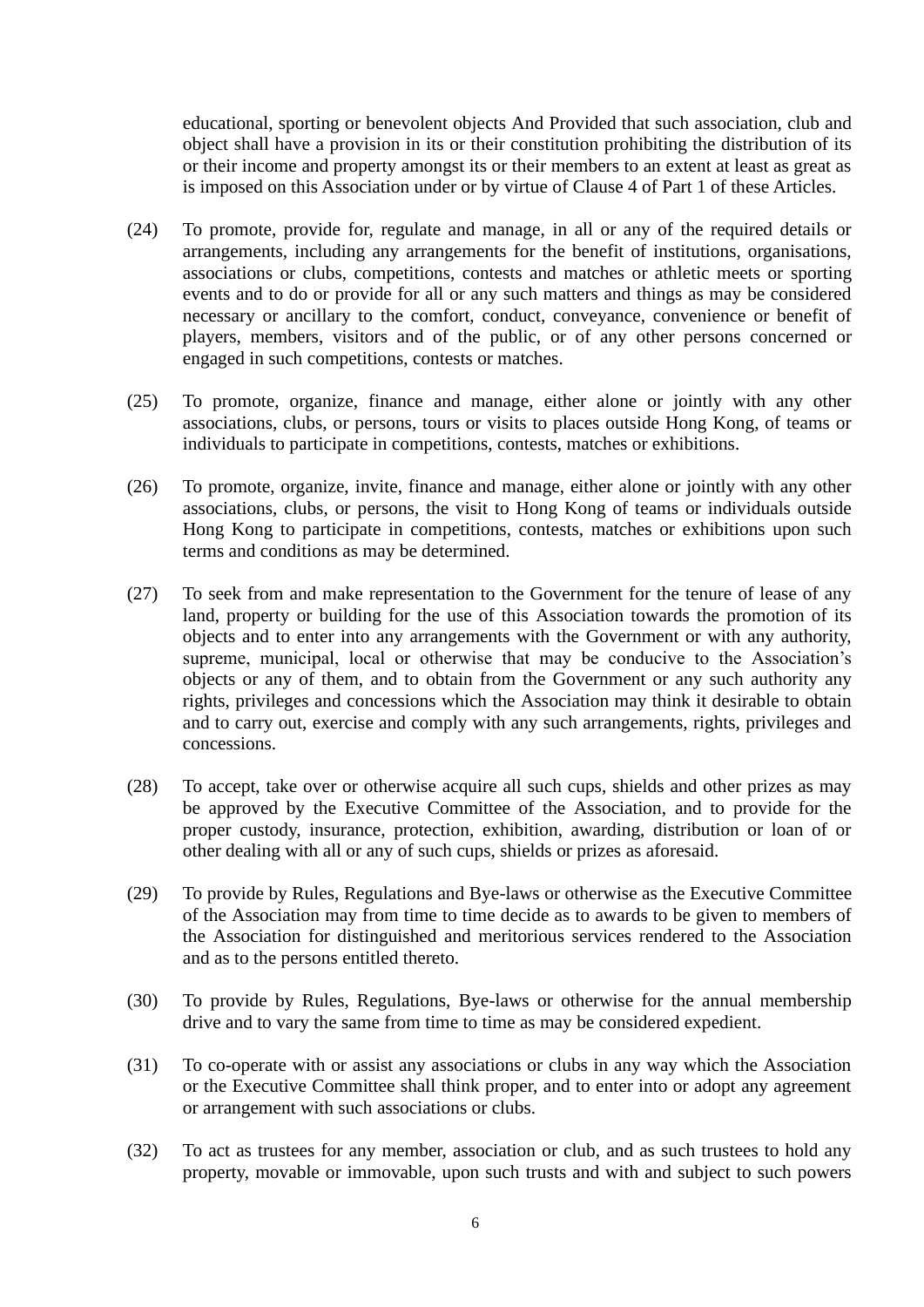educational, sporting or benevolent objects And Provided that such association, club and object shall have a provision in its or their constitution prohibiting the distribution of its or their income and property amongst its or their members to an extent at least as great as is imposed on this Association under or by virtue of Clause 4 of Part 1 of these Articles.

- (24) To promote, provide for, regulate and manage, in all or any of the required details or arrangements, including any arrangements for the benefit of institutions, organisations, associations or clubs, competitions, contests and matches or athletic meets or sporting events and to do or provide for all or any such matters and things as may be considered necessary or ancillary to the comfort, conduct, conveyance, convenience or benefit of players, members, visitors and of the public, or of any other persons concerned or engaged in such competitions, contests or matches.
- (25) To promote, organize, finance and manage, either alone or jointly with any other associations, clubs, or persons, tours or visits to places outside Hong Kong, of teams or individuals to participate in competitions, contests, matches or exhibitions.
- (26) To promote, organize, invite, finance and manage, either alone or jointly with any other associations, clubs, or persons, the visit to Hong Kong of teams or individuals outside Hong Kong to participate in competitions, contests, matches or exhibitions upon such terms and conditions as may be determined.
- (27) To seek from and make representation to the Government for the tenure of lease of any land, property or building for the use of this Association towards the promotion of its objects and to enter into any arrangements with the Government or with any authority, supreme, municipal, local or otherwise that may be conducive to the Association's objects or any of them, and to obtain from the Government or any such authority any rights, privileges and concessions which the Association may think it desirable to obtain and to carry out, exercise and comply with any such arrangements, rights, privileges and concessions.
- (28) To accept, take over or otherwise acquire all such cups, shields and other prizes as may be approved by the Executive Committee of the Association, and to provide for the proper custody, insurance, protection, exhibition, awarding, distribution or loan of or other dealing with all or any of such cups, shields or prizes as aforesaid.
- (29) To provide by Rules, Regulations and Bye-laws or otherwise as the Executive Committee of the Association may from time to time decide as to awards to be given to members of the Association for distinguished and meritorious services rendered to the Association and as to the persons entitled thereto.
- (30) To provide by Rules, Regulations, Bye-laws or otherwise for the annual membership drive and to vary the same from time to time as may be considered expedient.
- (31) To co-operate with or assist any associations or clubs in any way which the Association or the Executive Committee shall think proper, and to enter into or adopt any agreement or arrangement with such associations or clubs.
- (32) To act as trustees for any member, association or club, and as such trustees to hold any property, movable or immovable, upon such trusts and with and subject to such powers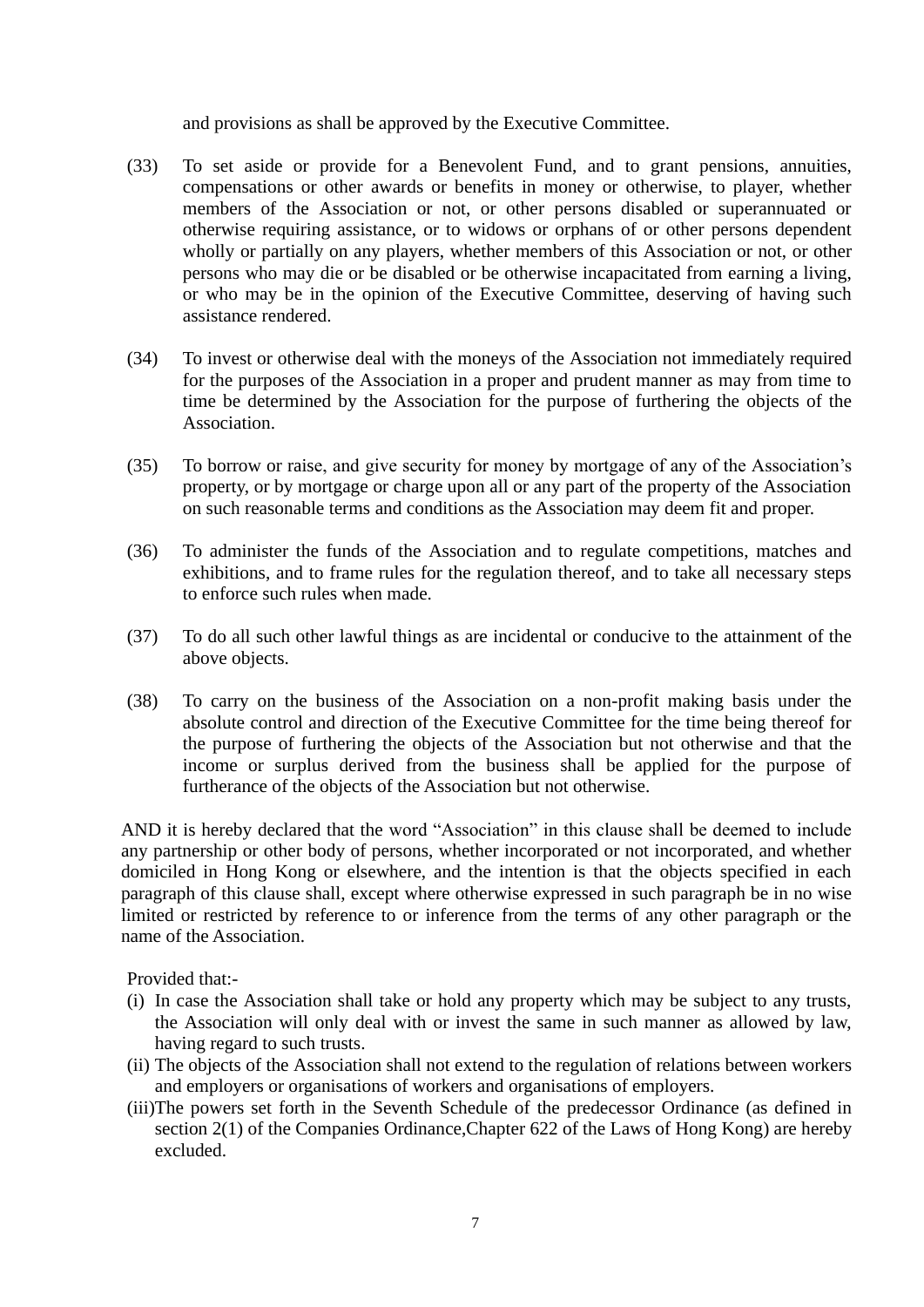and provisions as shall be approved by the Executive Committee.

- (33) To set aside or provide for a Benevolent Fund, and to grant pensions, annuities, compensations or other awards or benefits in money or otherwise, to player, whether members of the Association or not, or other persons disabled or superannuated or otherwise requiring assistance, or to widows or orphans of or other persons dependent wholly or partially on any players, whether members of this Association or not, or other persons who may die or be disabled or be otherwise incapacitated from earning a living, or who may be in the opinion of the Executive Committee, deserving of having such assistance rendered.
- (34) To invest or otherwise deal with the moneys of the Association not immediately required for the purposes of the Association in a proper and prudent manner as may from time to time be determined by the Association for the purpose of furthering the objects of the Association.
- (35) To borrow or raise, and give security for money by mortgage of any of the Association's property, or by mortgage or charge upon all or any part of the property of the Association on such reasonable terms and conditions as the Association may deem fit and proper.
- (36) To administer the funds of the Association and to regulate competitions, matches and exhibitions, and to frame rules for the regulation thereof, and to take all necessary steps to enforce such rules when made.
- (37) To do all such other lawful things as are incidental or conducive to the attainment of the above objects.
- (38) To carry on the business of the Association on a non-profit making basis under the absolute control and direction of the Executive Committee for the time being thereof for the purpose of furthering the objects of the Association but not otherwise and that the income or surplus derived from the business shall be applied for the purpose of furtherance of the objects of the Association but not otherwise.

AND it is hereby declared that the word "Association" in this clause shall be deemed to include any partnership or other body of persons, whether incorporated or not incorporated, and whether domiciled in Hong Kong or elsewhere, and the intention is that the objects specified in each paragraph of this clause shall, except where otherwise expressed in such paragraph be in no wise limited or restricted by reference to or inference from the terms of any other paragraph or the name of the Association.

Provided that:-

- (i) In case the Association shall take or hold any property which may be subject to any trusts, the Association will only deal with or invest the same in such manner as allowed by law, having regard to such trusts.
- (ii) The objects of the Association shall not extend to the regulation of relations between workers and employers or organisations of workers and organisations of employers.
- (iii)The powers set forth in the Seventh Schedule of the predecessor Ordinance (as defined in section 2(1) of the Companies Ordinance,Chapter 622 of the Laws of Hong Kong) are hereby excluded.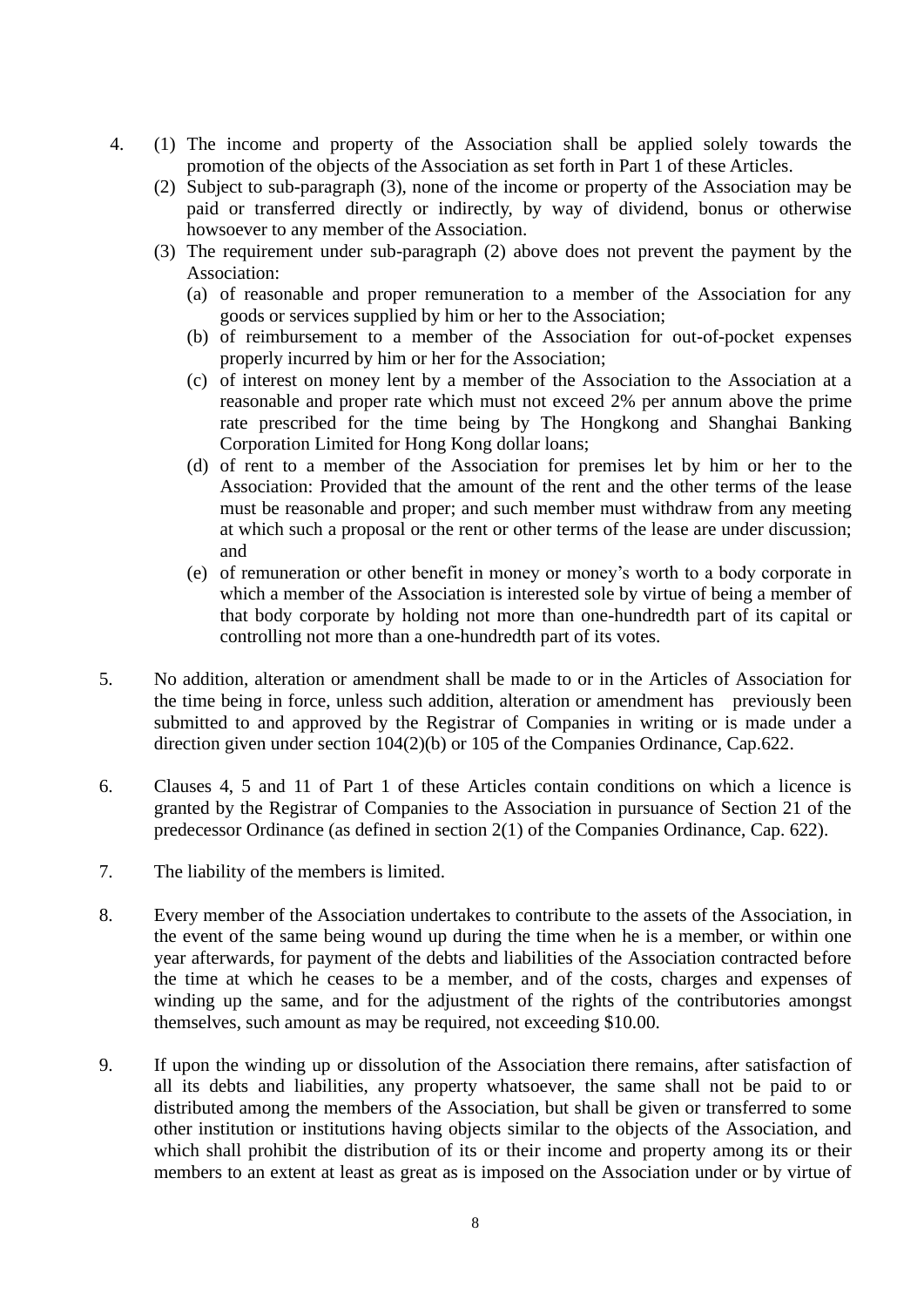- 4. (1) The income and property of the Association shall be applied solely towards the promotion of the objects of the Association as set forth in Part 1 of these Articles.
	- (2) Subject to sub-paragraph (3), none of the income or property of the Association may be paid or transferred directly or indirectly, by way of dividend, bonus or otherwise howsoever to any member of the Association.
	- (3) The requirement under sub-paragraph (2) above does not prevent the payment by the Association:
		- (a) of reasonable and proper remuneration to a member of the Association for any goods or services supplied by him or her to the Association;
		- (b) of reimbursement to a member of the Association for out-of-pocket expenses properly incurred by him or her for the Association;
		- (c) of interest on money lent by a member of the Association to the Association at a reasonable and proper rate which must not exceed 2% per annum above the prime rate prescribed for the time being by The Hongkong and Shanghai Banking Corporation Limited for Hong Kong dollar loans;
		- (d) of rent to a member of the Association for premises let by him or her to the Association: Provided that the amount of the rent and the other terms of the lease must be reasonable and proper; and such member must withdraw from any meeting at which such a proposal or the rent or other terms of the lease are under discussion; and
		- (e) of remuneration or other benefit in money or money's worth to a body corporate in which a member of the Association is interested sole by virtue of being a member of that body corporate by holding not more than one-hundredth part of its capital or controlling not more than a one-hundredth part of its votes.
- 5. No addition, alteration or amendment shall be made to or in the Articles of Association for the time being in force, unless such addition, alteration or amendment has previously been submitted to and approved by the Registrar of Companies in writing or is made under a direction given under section 104(2)(b) or 105 of the Companies Ordinance, Cap.622.
- 6. Clauses 4, 5 and 11 of Part 1 of these Articles contain conditions on which a licence is granted by the Registrar of Companies to the Association in pursuance of Section 21 of the predecessor Ordinance (as defined in section 2(1) of the Companies Ordinance, Cap. 622).
- 7. The liability of the members is limited.
- 8. Every member of the Association undertakes to contribute to the assets of the Association, in the event of the same being wound up during the time when he is a member, or within one year afterwards, for payment of the debts and liabilities of the Association contracted before the time at which he ceases to be a member, and of the costs, charges and expenses of winding up the same, and for the adjustment of the rights of the contributories amongst themselves, such amount as may be required, not exceeding \$10.00.
- 9. If upon the winding up or dissolution of the Association there remains, after satisfaction of all its debts and liabilities, any property whatsoever, the same shall not be paid to or distributed among the members of the Association, but shall be given or transferred to some other institution or institutions having objects similar to the objects of the Association, and which shall prohibit the distribution of its or their income and property among its or their members to an extent at least as great as is imposed on the Association under or by virtue of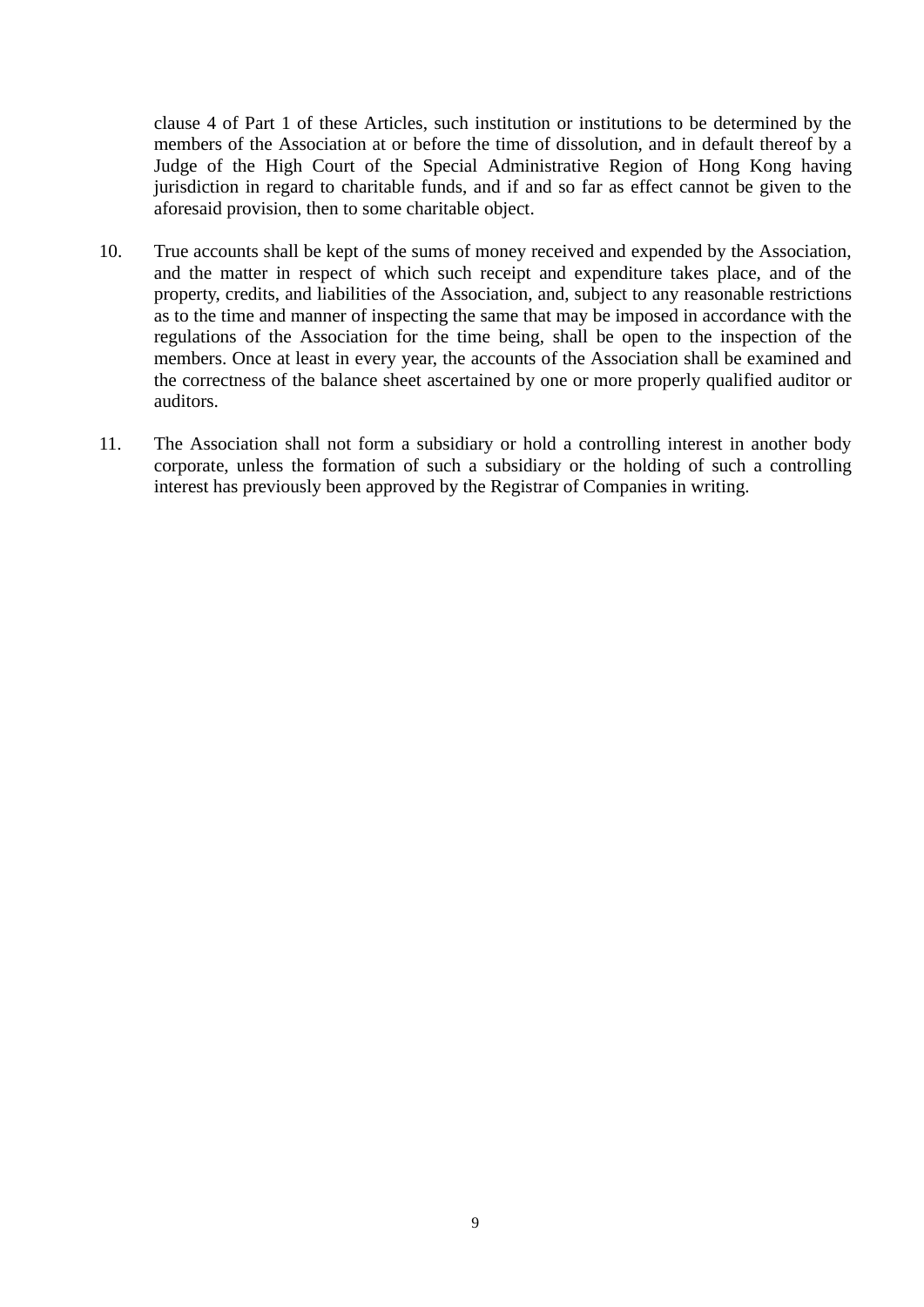clause 4 of Part 1 of these Articles, such institution or institutions to be determined by the members of the Association at or before the time of dissolution, and in default thereof by a Judge of the High Court of the Special Administrative Region of Hong Kong having jurisdiction in regard to charitable funds, and if and so far as effect cannot be given to the aforesaid provision, then to some charitable object.

- 10. True accounts shall be kept of the sums of money received and expended by the Association, and the matter in respect of which such receipt and expenditure takes place, and of the property, credits, and liabilities of the Association, and, subject to any reasonable restrictions as to the time and manner of inspecting the same that may be imposed in accordance with the regulations of the Association for the time being, shall be open to the inspection of the members. Once at least in every year, the accounts of the Association shall be examined and the correctness of the balance sheet ascertained by one or more properly qualified auditor or auditors.
- 11. The Association shall not form a subsidiary or hold a controlling interest in another body corporate, unless the formation of such a subsidiary or the holding of such a controlling interest has previously been approved by the Registrar of Companies in writing.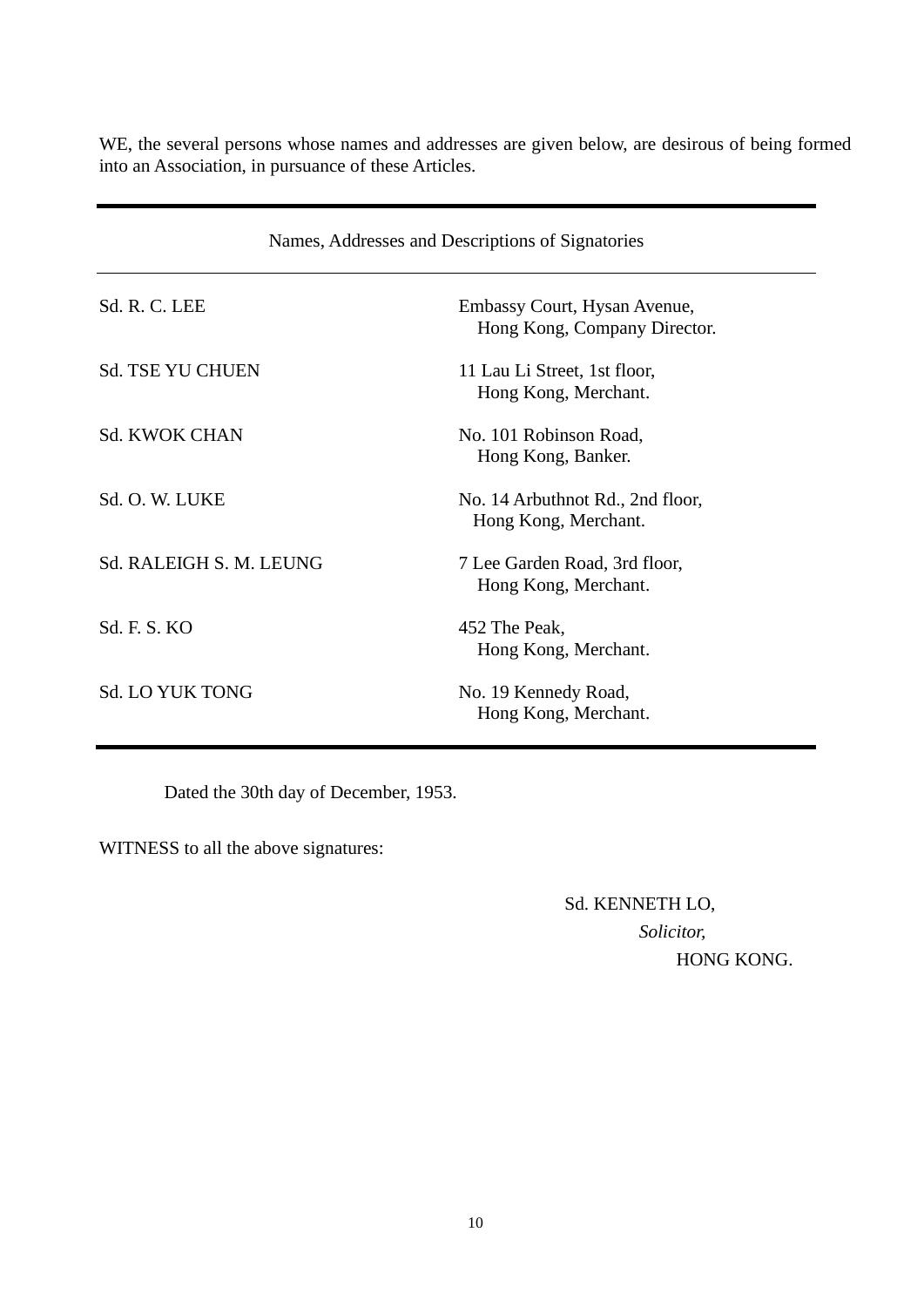WE, the several persons whose names and addresses are given below, are desirous of being formed into an Association, in pursuance of these Articles.

| Names, Addresses and Descriptions of Signatories |                                                              |  |  |  |
|--------------------------------------------------|--------------------------------------------------------------|--|--|--|
| Sd. R. C. LEE                                    | Embassy Court, Hysan Avenue,<br>Hong Kong, Company Director. |  |  |  |
| <b>Sd. TSE YU CHUEN</b>                          | 11 Lau Li Street, 1st floor,<br>Hong Kong, Merchant.         |  |  |  |
| <b>Sd. KWOK CHAN</b>                             | No. 101 Robinson Road,<br>Hong Kong, Banker.                 |  |  |  |
| Sd. O. W. LUKE                                   | No. 14 Arbuthnot Rd., 2nd floor,<br>Hong Kong, Merchant.     |  |  |  |
| Sd. RALEIGH S. M. LEUNG                          | 7 Lee Garden Road, 3rd floor,<br>Hong Kong, Merchant.        |  |  |  |
| Sd. F. S. KO                                     | 452 The Peak,<br>Hong Kong, Merchant.                        |  |  |  |
| <b>Sd. LO YUK TONG</b>                           | No. 19 Kennedy Road,<br>Hong Kong, Merchant.                 |  |  |  |

Dated the 30th day of December, 1953.

WITNESS to all the above signatures:

# Sd. KENNETH LO, *Solicitor,* HONG KONG.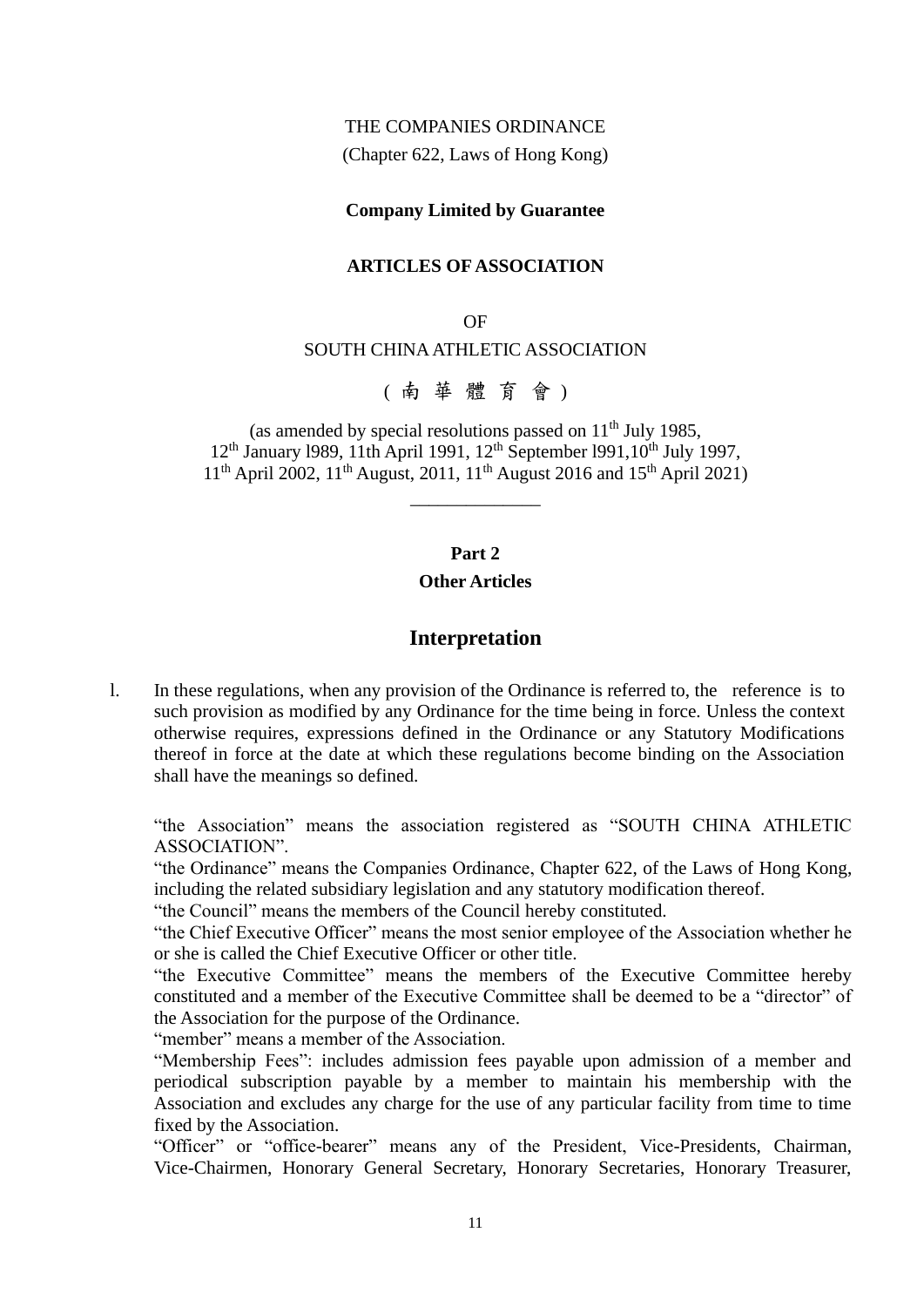#### THE COMPANIES ORDINANCE

(Chapter 622, Laws of Hong Kong)

#### **Company Limited by Guarantee**

#### **ARTICLES OF ASSOCIATION**

#### OF

#### SOUTH CHINA ATHLETIC ASSOCIATION

( 南 華 體 育 會 )

(as amended by special resolutions passed on  $11<sup>th</sup>$  July 1985, 12<sup>th</sup> January 1989, 11th April 1991, 12<sup>th</sup> September 1991, 10<sup>th</sup> July 1997, 11<sup>th</sup> April 2002, 11<sup>th</sup> August, 2011, 11<sup>th</sup> August 2016 and 15<sup>th</sup> April 2021)

\_\_\_\_\_\_\_\_\_\_\_\_\_\_

#### **Part 2**

#### **Other Articles**

#### **Interpretation**

l. In these regulations, when any provision of the Ordinance is referred to, the reference is to such provision as modified by any Ordinance for the time being in force. Unless the context otherwise requires, expressions defined in the Ordinance or any Statutory Modifications thereof in force at the date at which these regulations become binding on the Association shall have the meanings so defined.

"the Association" means the association registered as "SOUTH CHINA ATHLETIC ASSOCIATION".

"the Ordinance" means the Companies Ordinance, Chapter 622, of the Laws of Hong Kong, including the related subsidiary legislation and any statutory modification thereof.

"the Council" means the members of the Council hereby constituted.

"the Chief Executive Officer" means the most senior employee of the Association whether he or she is called the Chief Executive Officer or other title.

"the Executive Committee" means the members of the Executive Committee hereby constituted and a member of the Executive Committee shall be deemed to be a "director" of the Association for the purpose of the Ordinance.

"member" means a member of the Association.

"Membership Fees": includes admission fees payable upon admission of a member and periodical subscription payable by a member to maintain his membership with the Association and excludes any charge for the use of any particular facility from time to time fixed by the Association.

"Officer" or "office-bearer" means any of the President, Vice-Presidents, Chairman, Vice-Chairmen, Honorary General Secretary, Honorary Secretaries, Honorary Treasurer,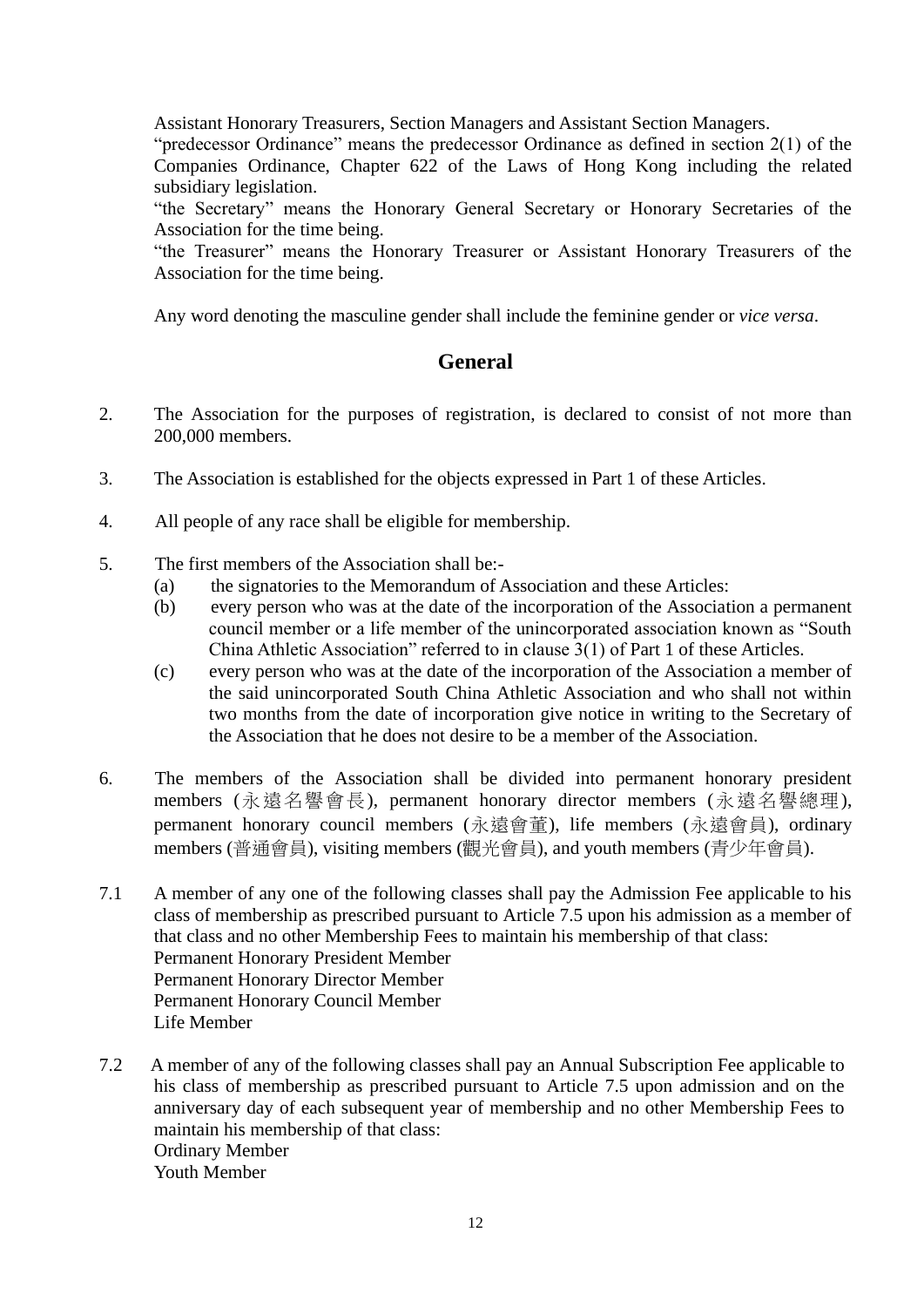Assistant Honorary Treasurers, Section Managers and Assistant Section Managers.

"predecessor Ordinance" means the predecessor Ordinance as defined in section 2(1) of the Companies Ordinance, Chapter 622 of the Laws of Hong Kong including the related subsidiary legislation.

"the Secretary" means the Honorary General Secretary or Honorary Secretaries of the Association for the time being.

"the Treasurer" means the Honorary Treasurer or Assistant Honorary Treasurers of the Association for the time being.

Any word denoting the masculine gender shall include the feminine gender or *vice versa*.

### **General**

- 2. The Association for the purposes of registration, is declared to consist of not more than 200,000 members.
- 3. The Association is established for the objects expressed in Part 1 of these Articles.
- 4. All people of any race shall be eligible for membership.
- 5. The first members of the Association shall be:-
	- (a) the signatories to the Memorandum of Association and these Articles:
	- (b) every person who was at the date of the incorporation of the Association a permanent council member or a life member of the unincorporated association known as "South China Athletic Association" referred to in clause 3(1) of Part 1 of these Articles.
	- (c) every person who was at the date of the incorporation of the Association a member of the said unincorporated South China Athletic Association and who shall not within two months from the date of incorporation give notice in writing to the Secretary of the Association that he does not desire to be a member of the Association.
- 6. The members of the Association shall be divided into permanent honorary president members (永遠名譽會長), permanent honorary director members (永遠名譽總理), permanent honorary council members (永遠會董), life members (永遠會員), ordinary members (普通會員), visiting members (觀光會員), and youth members (青少年會員).
- 7.1 A member of any one of the following classes shall pay the Admission Fee applicable to his class of membership as prescribed pursuant to Article 7.5 upon his admission as a member of that class and no other Membership Fees to maintain his membership of that class: Permanent Honorary President Member Permanent Honorary Director Member Permanent Honorary Council Member Life Member
- 7.2 A member of any of the following classes shall pay an Annual Subscription Fee applicable to his class of membership as prescribed pursuant to Article 7.5 upon admission and on the anniversary day of each subsequent year of membership and no other Membership Fees to maintain his membership of that class: Ordinary Member Youth Member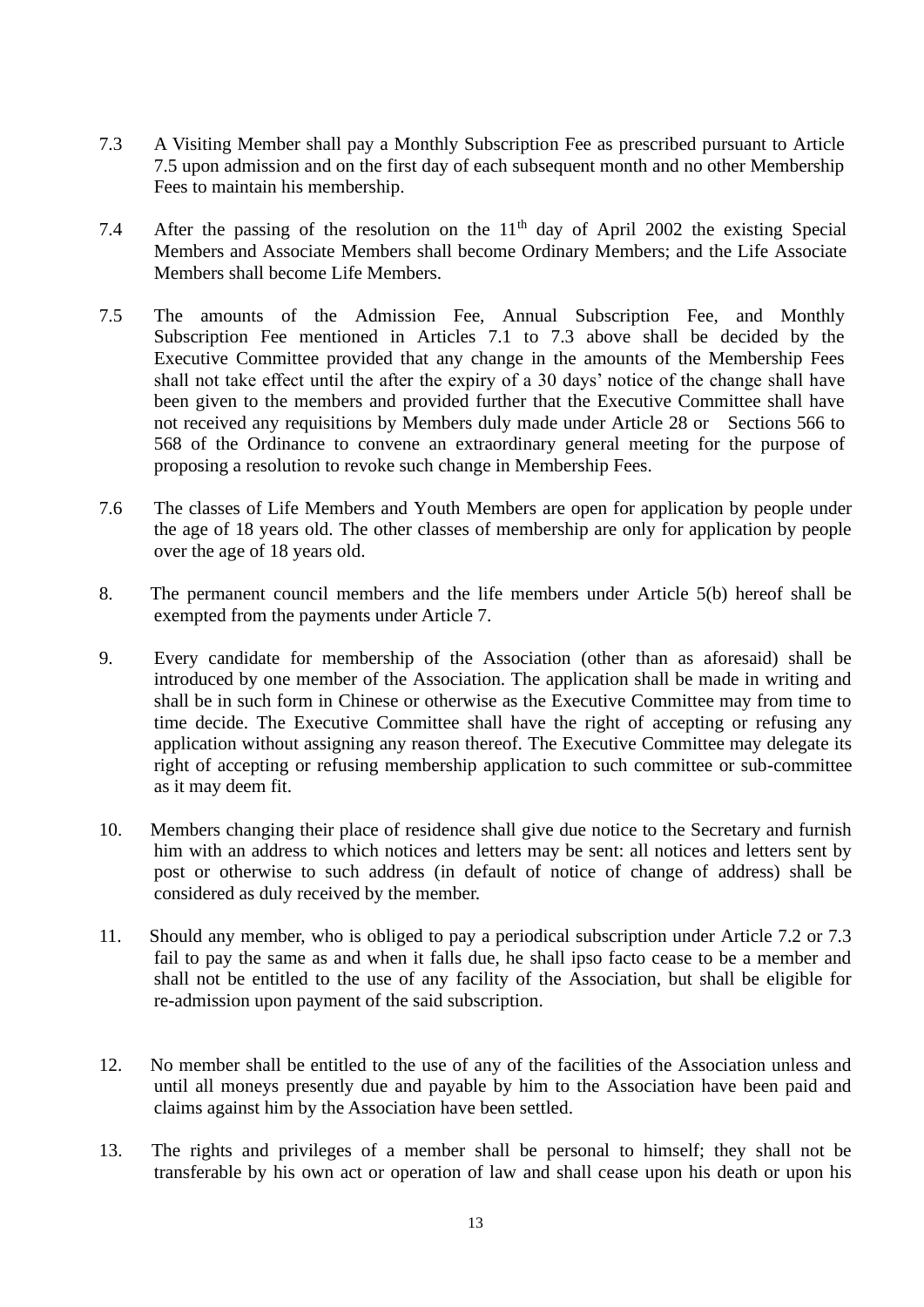- 7.3 A Visiting Member shall pay a Monthly Subscription Fee as prescribed pursuant to Article 7.5 upon admission and on the first day of each subsequent month and no other Membership Fees to maintain his membership.
- 7.4 After the passing of the resolution on the  $11<sup>th</sup>$  day of April 2002 the existing Special Members and Associate Members shall become Ordinary Members; and the Life Associate Members shall become Life Members.
- 7.5 The amounts of the Admission Fee, Annual Subscription Fee, and Monthly Subscription Fee mentioned in Articles 7.1 to 7.3 above shall be decided by the Executive Committee provided that any change in the amounts of the Membership Fees shall not take effect until the after the expiry of a 30 days' notice of the change shall have been given to the members and provided further that the Executive Committee shall have not received any requisitions by Members duly made under Article 28 or Sections 566 to 568 of the Ordinance to convene an extraordinary general meeting for the purpose of proposing a resolution to revoke such change in Membership Fees.
- 7.6 The classes of Life Members and Youth Members are open for application by people under the age of 18 years old. The other classes of membership are only for application by people over the age of 18 years old.
- 8. The permanent council members and the life members under Article 5(b) hereof shall be exempted from the payments under Article 7.
- 9. Every candidate for membership of the Association (other than as aforesaid) shall be introduced by one member of the Association. The application shall be made in writing and shall be in such form in Chinese or otherwise as the Executive Committee may from time to time decide. The Executive Committee shall have the right of accepting or refusing any application without assigning any reason thereof. The Executive Committee may delegate its right of accepting or refusing membership application to such committee or sub-committee as it may deem fit.
- 10. Members changing their place of residence shall give due notice to the Secretary and furnish him with an address to which notices and letters may be sent: all notices and letters sent by post or otherwise to such address (in default of notice of change of address) shall be considered as duly received by the member.
- 11. Should any member, who is obliged to pay a periodical subscription under Article 7.2 or 7.3 fail to pay the same as and when it falls due, he shall ipso facto cease to be a member and shall not be entitled to the use of any facility of the Association, but shall be eligible for re-admission upon payment of the said subscription.
- 12. No member shall be entitled to the use of any of the facilities of the Association unless and until all moneys presently due and payable by him to the Association have been paid and claims against him by the Association have been settled.
- 13. The rights and privileges of a member shall be personal to himself; they shall not be transferable by his own act or operation of law and shall cease upon his death or upon his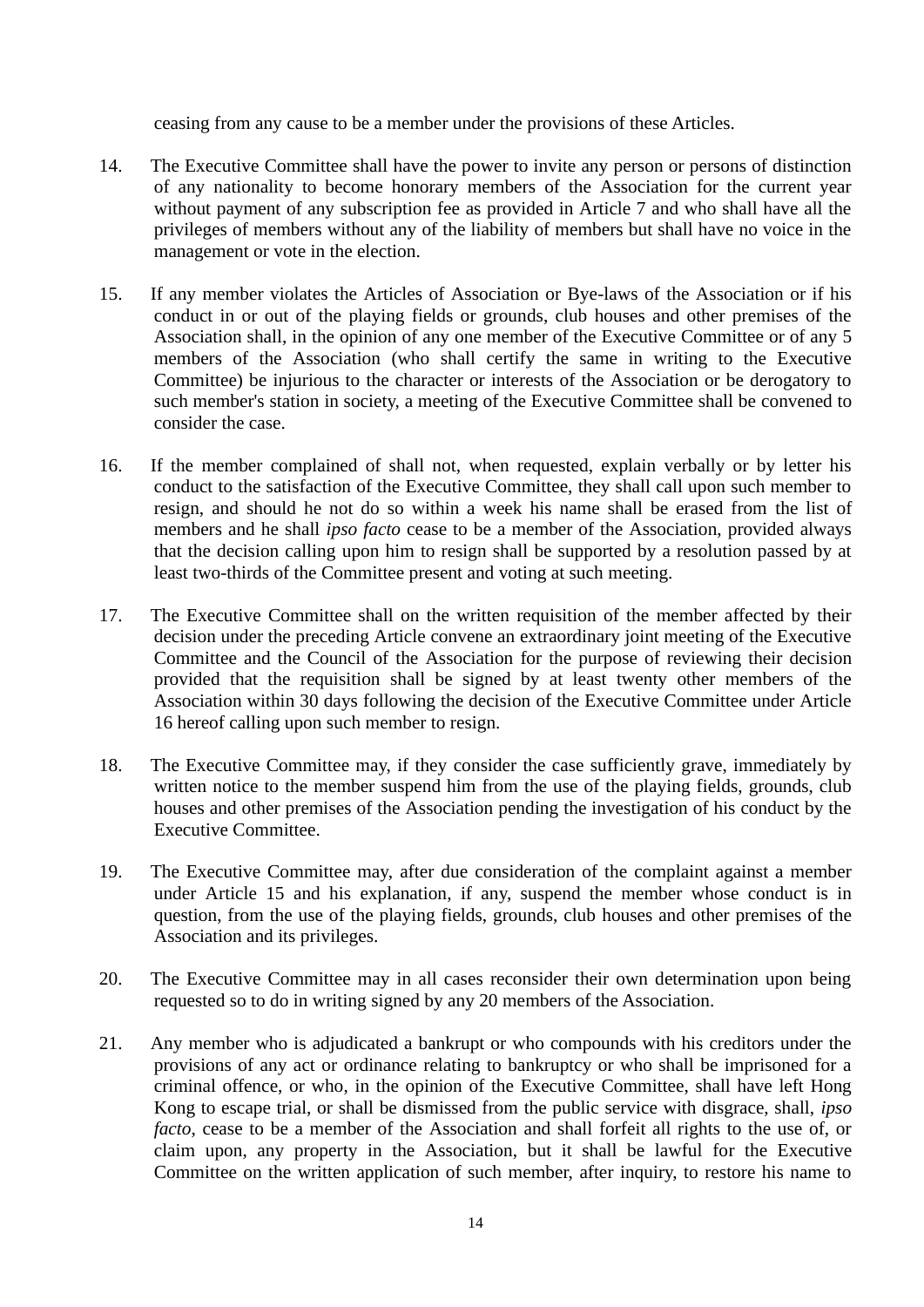ceasing from any cause to be a member under the provisions of these Articles.

- 14. The Executive Committee shall have the power to invite any person or persons of distinction of any nationality to become honorary members of the Association for the current year without payment of any subscription fee as provided in Article 7 and who shall have all the privileges of members without any of the liability of members but shall have no voice in the management or vote in the election.
- 15. If any member violates the Articles of Association or Bye-laws of the Association or if his conduct in or out of the playing fields or grounds, club houses and other premises of the Association shall, in the opinion of any one member of the Executive Committee or of any 5 members of the Association (who shall certify the same in writing to the Executive Committee) be injurious to the character or interests of the Association or be derogatory to such member's station in society, a meeting of the Executive Committee shall be convened to consider the case.
- 16. If the member complained of shall not, when requested, explain verbally or by letter his conduct to the satisfaction of the Executive Committee, they shall call upon such member to resign, and should he not do so within a week his name shall be erased from the list of members and he shall *ipso facto* cease to be a member of the Association, provided always that the decision calling upon him to resign shall be supported by a resolution passed by at least two-thirds of the Committee present and voting at such meeting.
- 17. The Executive Committee shall on the written requisition of the member affected by their decision under the preceding Article convene an extraordinary joint meeting of the Executive Committee and the Council of the Association for the purpose of reviewing their decision provided that the requisition shall be signed by at least twenty other members of the Association within 30 days following the decision of the Executive Committee under Article 16 hereof calling upon such member to resign.
- 18. The Executive Committee may, if they consider the case sufficiently grave, immediately by written notice to the member suspend him from the use of the playing fields, grounds, club houses and other premises of the Association pending the investigation of his conduct by the Executive Committee.
- 19. The Executive Committee may, after due consideration of the complaint against a member under Article 15 and his explanation, if any, suspend the member whose conduct is in question, from the use of the playing fields, grounds, club houses and other premises of the Association and its privileges.
- 20. The Executive Committee may in all cases reconsider their own determination upon being requested so to do in writing signed by any 20 members of the Association.
- 21. Any member who is adjudicated a bankrupt or who compounds with his creditors under the provisions of any act or ordinance relating to bankruptcy or who shall be imprisoned for a criminal offence, or who, in the opinion of the Executive Committee, shall have left Hong Kong to escape trial, or shall be dismissed from the public service with disgrace, shall, *ipso facto*, cease to be a member of the Association and shall forfeit all rights to the use of, or claim upon, any property in the Association, but it shall be lawful for the Executive Committee on the written application of such member, after inquiry, to restore his name to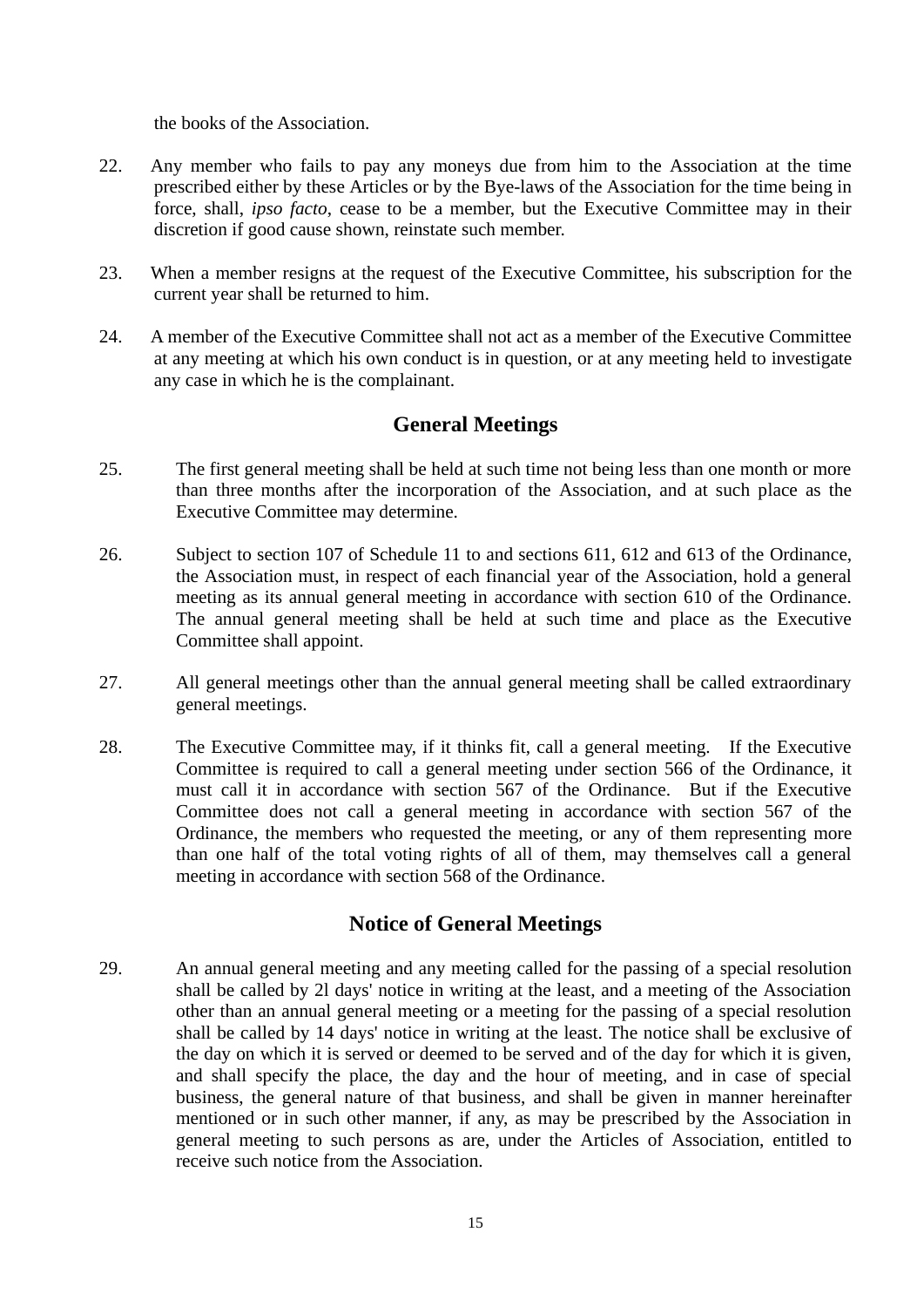the books of the Association.

- 22. Any member who fails to pay any moneys due from him to the Association at the time prescribed either by these Articles or by the Bye-laws of the Association for the time being in force, shall, *ipso facto*, cease to be a member, but the Executive Committee may in their discretion if good cause shown, reinstate such member.
- 23. When a member resigns at the request of the Executive Committee, his subscription for the current year shall be returned to him.
- 24. A member of the Executive Committee shall not act as a member of the Executive Committee at any meeting at which his own conduct is in question, or at any meeting held to investigate any case in which he is the complainant.

### **General Meetings**

- 25. The first general meeting shall be held at such time not being less than one month or more than three months after the incorporation of the Association, and at such place as the Executive Committee may determine.
- 26. Subject to section 107 of Schedule 11 to and sections 611, 612 and 613 of the Ordinance, the Association must, in respect of each financial year of the Association, hold a general meeting as its annual general meeting in accordance with section 610 of the Ordinance. The annual general meeting shall be held at such time and place as the Executive Committee shall appoint.
- 27. All general meetings other than the annual general meeting shall be called extraordinary general meetings.
- 28. The Executive Committee may, if it thinks fit, call a general meeting. If the Executive Committee is required to call a general meeting under section 566 of the Ordinance, it must call it in accordance with section 567 of the Ordinance. But if the Executive Committee does not call a general meeting in accordance with section 567 of the Ordinance, the members who requested the meeting, or any of them representing more than one half of the total voting rights of all of them, may themselves call a general meeting in accordance with section 568 of the Ordinance.

### **Notice of General Meetings**

29. An annual general meeting and any meeting called for the passing of a special resolution shall be called by 2l days' notice in writing at the least, and a meeting of the Association other than an annual general meeting or a meeting for the passing of a special resolution shall be called by 14 days' notice in writing at the least. The notice shall be exclusive of the day on which it is served or deemed to be served and of the day for which it is given, and shall specify the place, the day and the hour of meeting, and in case of special business, the general nature of that business, and shall be given in manner hereinafter mentioned or in such other manner, if any, as may be prescribed by the Association in general meeting to such persons as are, under the Articles of Association, entitled to receive such notice from the Association.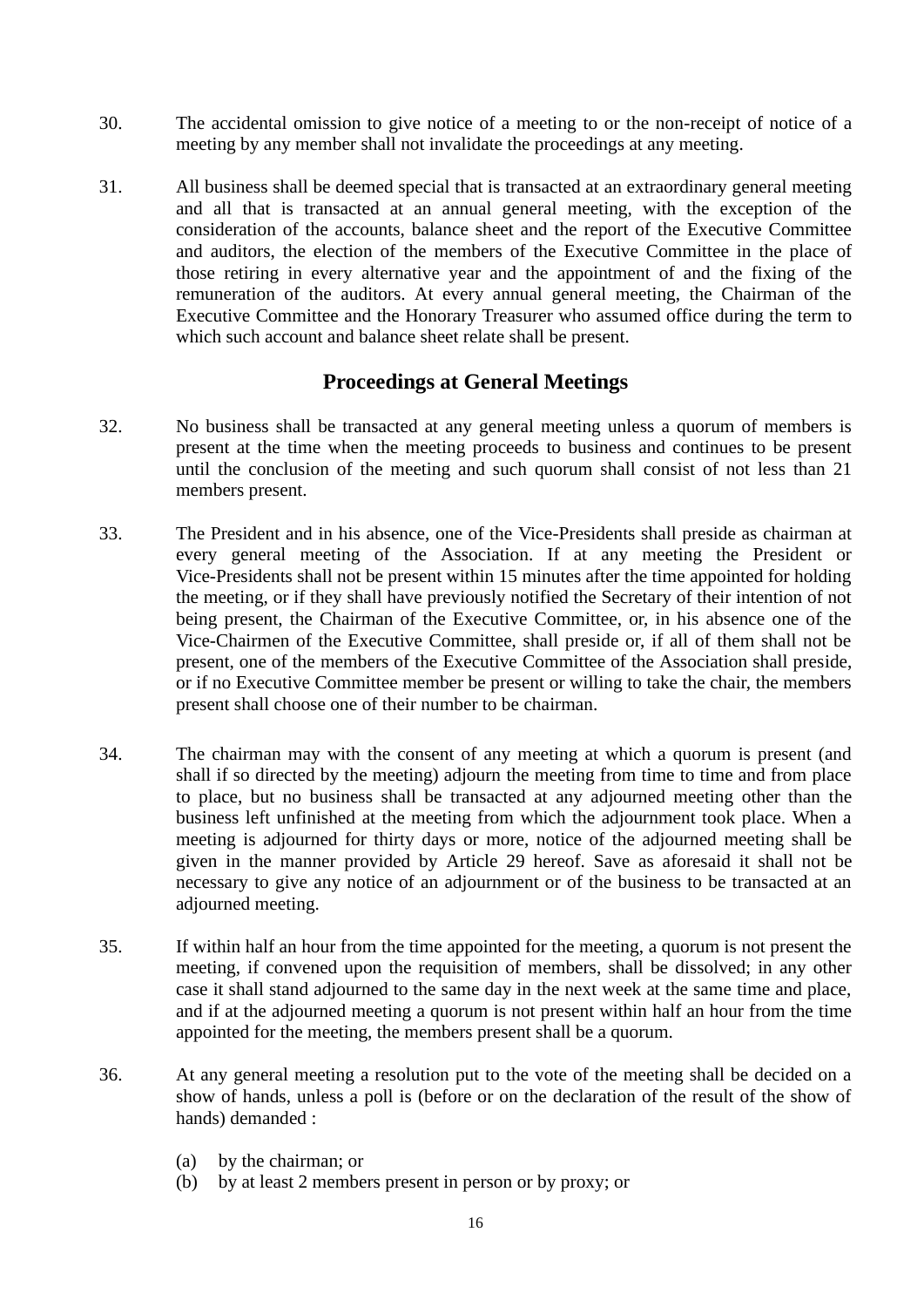- 30. The accidental omission to give notice of a meeting to or the non-receipt of notice of a meeting by any member shall not invalidate the proceedings at any meeting.
- 31. All business shall be deemed special that is transacted at an extraordinary general meeting and all that is transacted at an annual general meeting, with the exception of the consideration of the accounts, balance sheet and the report of the Executive Committee and auditors, the election of the members of the Executive Committee in the place of those retiring in every alternative year and the appointment of and the fixing of the remuneration of the auditors. At every annual general meeting, the Chairman of the Executive Committee and the Honorary Treasurer who assumed office during the term to which such account and balance sheet relate shall be present.

### **Proceedings at General Meetings**

- 32. No business shall be transacted at any general meeting unless a quorum of members is present at the time when the meeting proceeds to business and continues to be present until the conclusion of the meeting and such quorum shall consist of not less than 21 members present.
- 33. The President and in his absence, one of the Vice-Presidents shall preside as chairman at every general meeting of the Association. If at any meeting the President or Vice-Presidents shall not be present within 15 minutes after the time appointed for holding the meeting, or if they shall have previously notified the Secretary of their intention of not being present, the Chairman of the Executive Committee, or, in his absence one of the Vice-Chairmen of the Executive Committee, shall preside or, if all of them shall not be present, one of the members of the Executive Committee of the Association shall preside, or if no Executive Committee member be present or willing to take the chair, the members present shall choose one of their number to be chairman.
- 34. The chairman may with the consent of any meeting at which a quorum is present (and shall if so directed by the meeting) adjourn the meeting from time to time and from place to place, but no business shall be transacted at any adjourned meeting other than the business left unfinished at the meeting from which the adjournment took place. When a meeting is adjourned for thirty days or more, notice of the adjourned meeting shall be given in the manner provided by Article 29 hereof. Save as aforesaid it shall not be necessary to give any notice of an adjournment or of the business to be transacted at an adjourned meeting.
- 35. If within half an hour from the time appointed for the meeting, a quorum is not present the meeting, if convened upon the requisition of members, shall be dissolved; in any other case it shall stand adjourned to the same day in the next week at the same time and place, and if at the adjourned meeting a quorum is not present within half an hour from the time appointed for the meeting, the members present shall be a quorum.
- 36. At any general meeting a resolution put to the vote of the meeting shall be decided on a show of hands, unless a poll is (before or on the declaration of the result of the show of hands) demanded :
	- (a) by the chairman; or
	- (b) by at least 2 members present in person or by proxy; or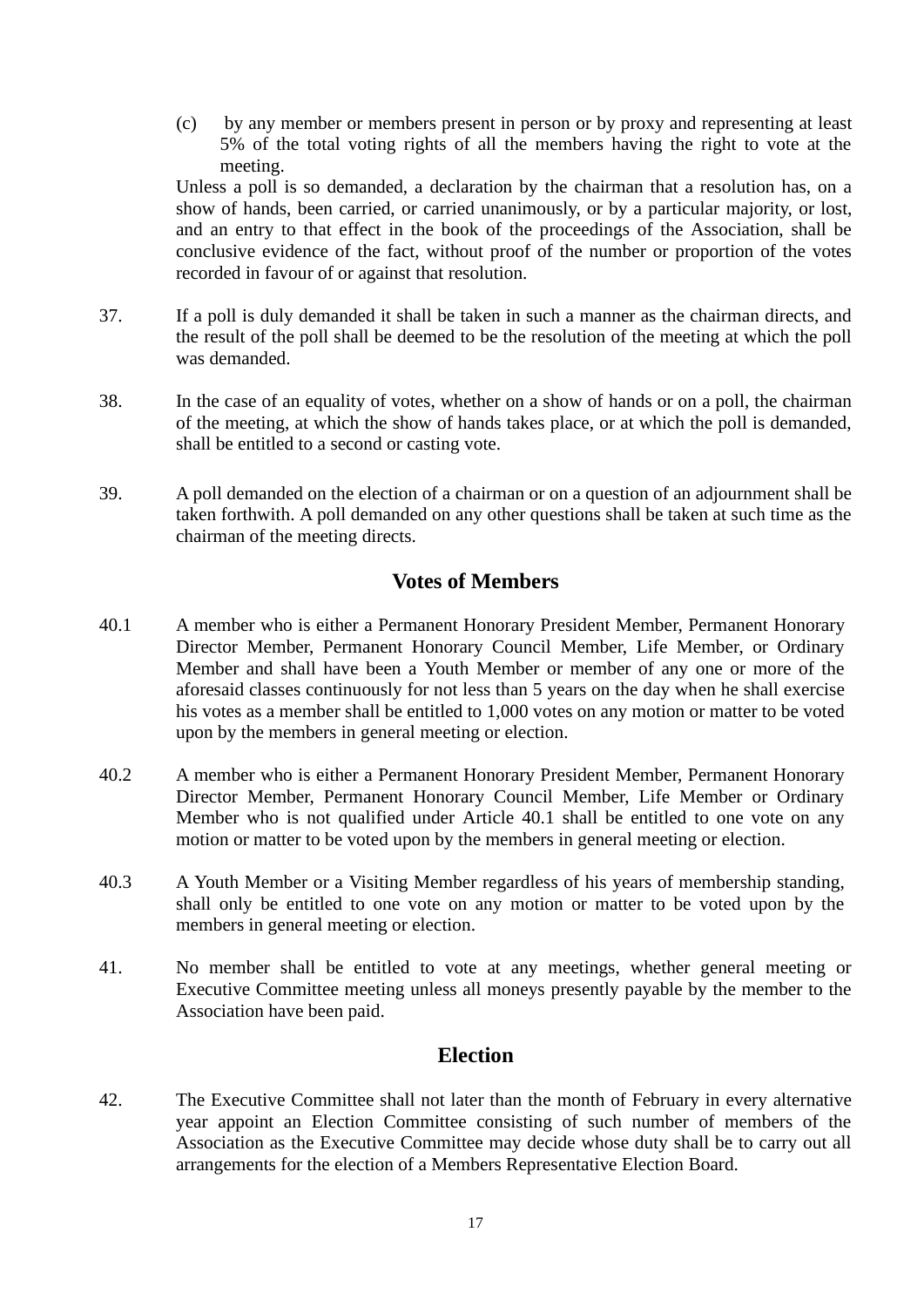(c) by any member or members present in person or by proxy and representing at least 5% of the total voting rights of all the members having the right to vote at the meeting.

Unless a poll is so demanded, a declaration by the chairman that a resolution has, on a show of hands, been carried, or carried unanimously, or by a particular majority, or lost, and an entry to that effect in the book of the proceedings of the Association, shall be conclusive evidence of the fact, without proof of the number or proportion of the votes recorded in favour of or against that resolution.

- 37. If a poll is duly demanded it shall be taken in such a manner as the chairman directs, and the result of the poll shall be deemed to be the resolution of the meeting at which the poll was demanded.
- 38. In the case of an equality of votes, whether on a show of hands or on a poll, the chairman of the meeting, at which the show of hands takes place, or at which the poll is demanded, shall be entitled to a second or casting vote.
- 39. A poll demanded on the election of a chairman or on a question of an adjournment shall be taken forthwith. A poll demanded on any other questions shall be taken at such time as the chairman of the meeting directs.

### **Votes of Members**

- 40.1 A member who is either a Permanent Honorary President Member, Permanent Honorary Director Member, Permanent Honorary Council Member, Life Member, or Ordinary Member and shall have been a Youth Member or member of any one or more of the aforesaid classes continuously for not less than 5 years on the day when he shall exercise his votes as a member shall be entitled to 1,000 votes on any motion or matter to be voted upon by the members in general meeting or election.
- 40.2 A member who is either a Permanent Honorary President Member, Permanent Honorary Director Member, Permanent Honorary Council Member, Life Member or Ordinary Member who is not qualified under Article 40.1 shall be entitled to one vote on any motion or matter to be voted upon by the members in general meeting or election.
- 40.3 A Youth Member or a Visiting Member regardless of his years of membership standing, shall only be entitled to one vote on any motion or matter to be voted upon by the members in general meeting or election.
- 41. No member shall be entitled to vote at any meetings, whether general meeting or Executive Committee meeting unless all moneys presently payable by the member to the Association have been paid.

### **Election**

42. The Executive Committee shall not later than the month of February in every alternative year appoint an Election Committee consisting of such number of members of the Association as the Executive Committee may decide whose duty shall be to carry out all arrangements for the election of a Members Representative Election Board.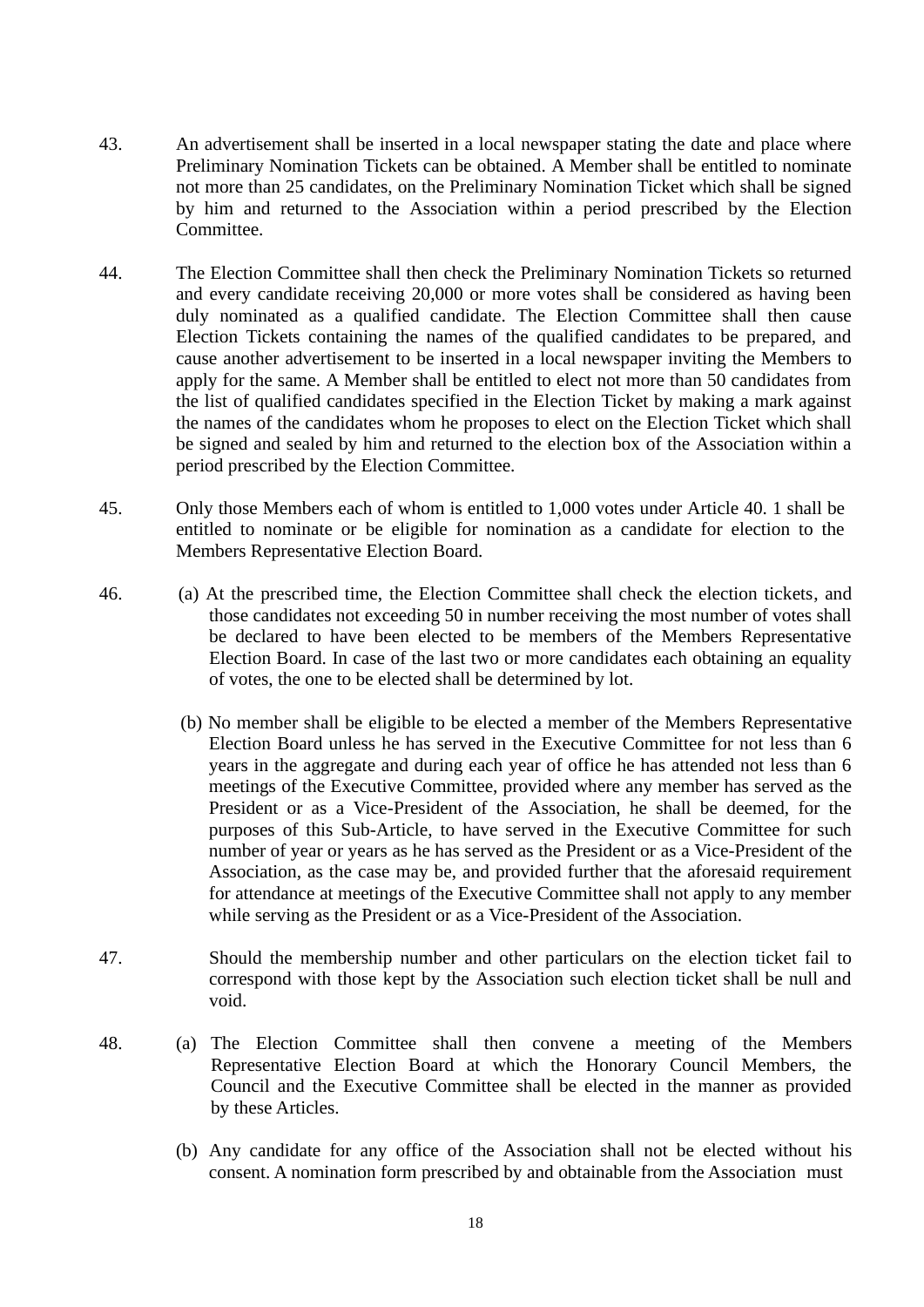- 43. An advertisement shall be inserted in a local newspaper stating the date and place where Preliminary Nomination Tickets can be obtained. A Member shall be entitled to nominate not more than 25 candidates, on the Preliminary Nomination Ticket which shall be signed by him and returned to the Association within a period prescribed by the Election Committee.
- 44. The Election Committee shall then check the Preliminary Nomination Tickets so returned and every candidate receiving 20,000 or more votes shall be considered as having been duly nominated as a qualified candidate. The Election Committee shall then cause Election Tickets containing the names of the qualified candidates to be prepared, and cause another advertisement to be inserted in a local newspaper inviting the Members to apply for the same. A Member shall be entitled to elect not more than 50 candidates from the list of qualified candidates specified in the Election Ticket by making a mark against the names of the candidates whom he proposes to elect on the Election Ticket which shall be signed and sealed by him and returned to the election box of the Association within a period prescribed by the Election Committee.
- 45. Only those Members each of whom is entitled to 1,000 votes under Article 40. 1 shall be entitled to nominate or be eligible for nomination as a candidate for election to the Members Representative Election Board.
- 46. (a) At the prescribed time, the Election Committee shall check the election tickets, and those candidates not exceeding 50 in number receiving the most number of votes shall be declared to have been elected to be members of the Members Representative Election Board. In case of the last two or more candidates each obtaining an equality of votes, the one to be elected shall be determined by lot.
	- (b) No member shall be eligible to be elected a member of the Members Representative Election Board unless he has served in the Executive Committee for not less than 6 years in the aggregate and during each year of office he has attended not less than 6 meetings of the Executive Committee, provided where any member has served as the President or as a Vice-President of the Association, he shall be deemed, for the purposes of this Sub-Article, to have served in the Executive Committee for such number of year or years as he has served as the President or as a Vice-President of the Association, as the case may be, and provided further that the aforesaid requirement for attendance at meetings of the Executive Committee shall not apply to any member while serving as the President or as a Vice-President of the Association.
- 47. Should the membership number and other particulars on the election ticket fail to correspond with those kept by the Association such election ticket shall be null and void.
- 48. (a) The Election Committee shall then convene a meeting of the Members Representative Election Board at which the Honorary Council Members, the Council and the Executive Committee shall be elected in the manner as provided by these Articles.
	- (b) Any candidate for any office of the Association shall not be elected without his consent. A nomination form prescribed by and obtainable from the Association must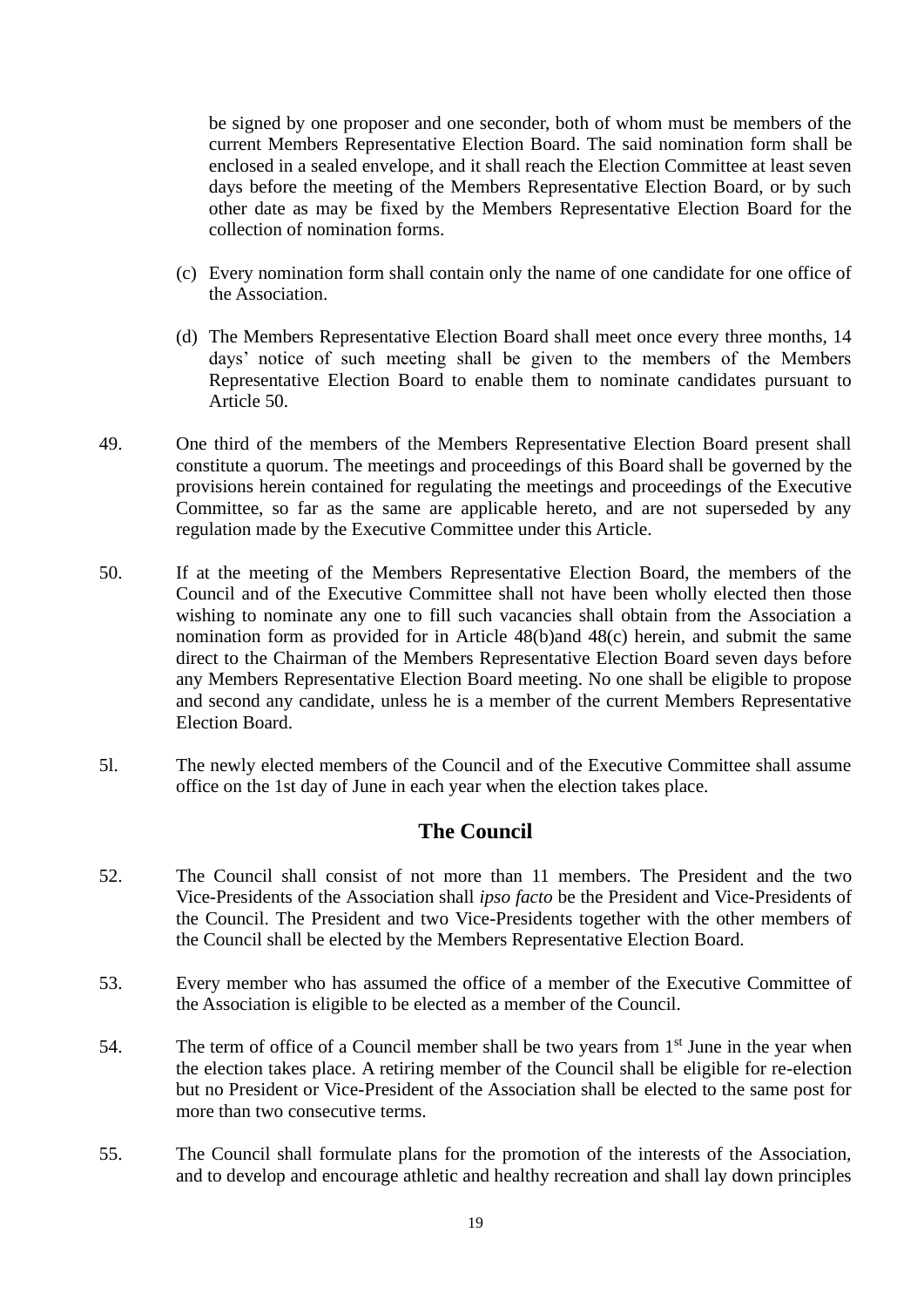be signed by one proposer and one seconder, both of whom must be members of the current Members Representative Election Board. The said nomination form shall be enclosed in a sealed envelope, and it shall reach the Election Committee at least seven days before the meeting of the Members Representative Election Board, or by such other date as may be fixed by the Members Representative Election Board for the collection of nomination forms.

- (c) Every nomination form shall contain only the name of one candidate for one office of the Association.
- (d) The Members Representative Election Board shall meet once every three months, 14 days' notice of such meeting shall be given to the members of the Members Representative Election Board to enable them to nominate candidates pursuant to Article 50.
- 49. One third of the members of the Members Representative Election Board present shall constitute a quorum. The meetings and proceedings of this Board shall be governed by the provisions herein contained for regulating the meetings and proceedings of the Executive Committee, so far as the same are applicable hereto, and are not superseded by any regulation made by the Executive Committee under this Article.
- 50. If at the meeting of the Members Representative Election Board, the members of the Council and of the Executive Committee shall not have been wholly elected then those wishing to nominate any one to fill such vacancies shall obtain from the Association a nomination form as provided for in Article 48(b)and 48(c) herein, and submit the same direct to the Chairman of the Members Representative Election Board seven days before any Members Representative Election Board meeting. No one shall be eligible to propose and second any candidate, unless he is a member of the current Members Representative Election Board.
- 5l. The newly elected members of the Council and of the Executive Committee shall assume office on the 1st day of June in each year when the election takes place.

### **The Council**

- 52. The Council shall consist of not more than 11 members. The President and the two Vice-Presidents of the Association shall *ipso facto* be the President and Vice-Presidents of the Council. The President and two Vice-Presidents together with the other members of the Council shall be elected by the Members Representative Election Board.
- 53. Every member who has assumed the office of a member of the Executive Committee of the Association is eligible to be elected as a member of the Council.
- 54. The term of office of a Council member shall be two years from  $1<sup>st</sup>$  June in the year when the election takes place. A retiring member of the Council shall be eligible for re-election but no President or Vice-President of the Association shall be elected to the same post for more than two consecutive terms.
- 55. The Council shall formulate plans for the promotion of the interests of the Association, and to develop and encourage athletic and healthy recreation and shall lay down principles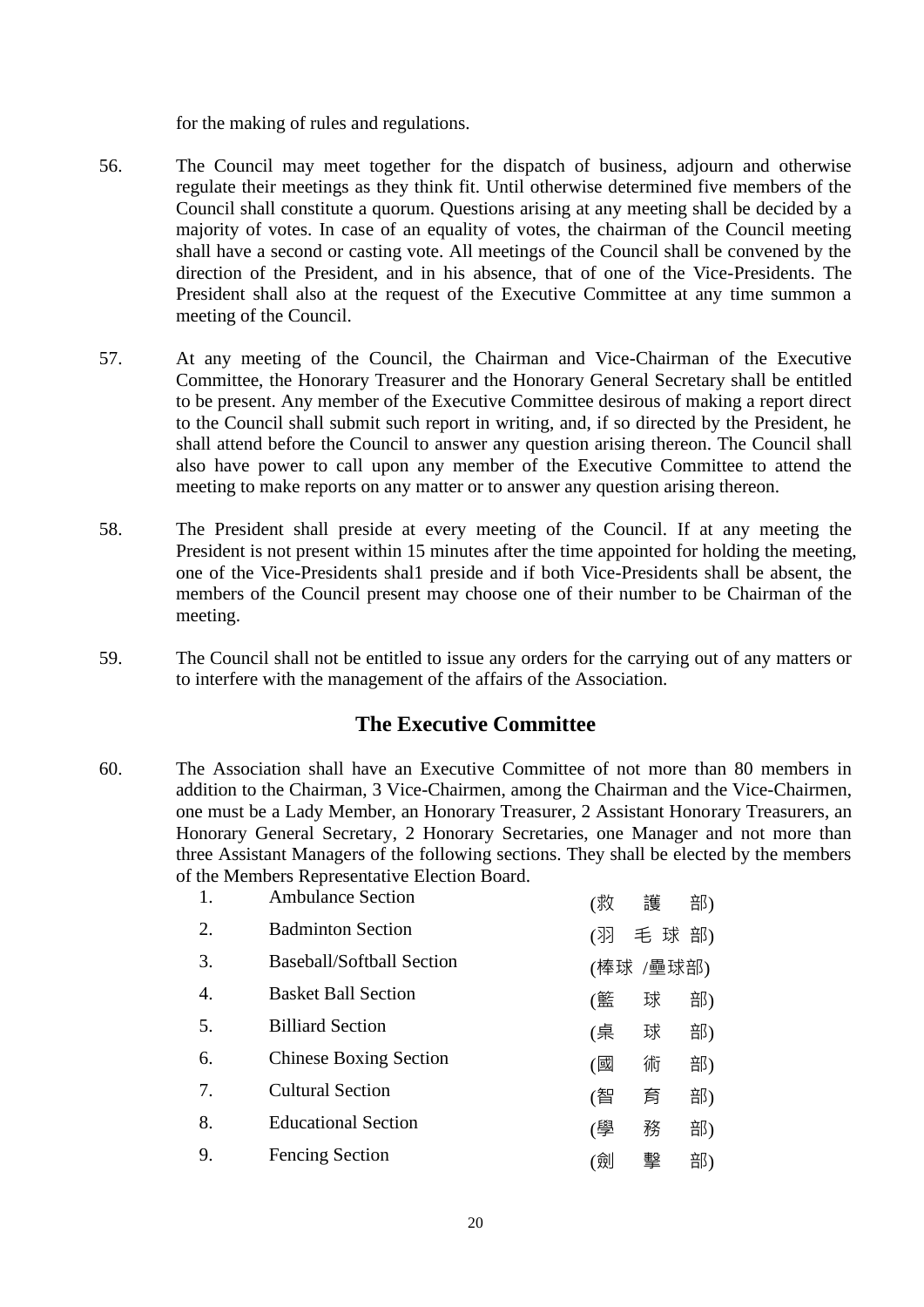for the making of rules and regulations.

- 56. The Council may meet together for the dispatch of business, adjourn and otherwise regulate their meetings as they think fit. Until otherwise determined five members of the Council shall constitute a quorum. Questions arising at any meeting shall be decided by a majority of votes. In case of an equality of votes, the chairman of the Council meeting shall have a second or casting vote. All meetings of the Council shall be convened by the direction of the President, and in his absence, that of one of the Vice-Presidents. The President shall also at the request of the Executive Committee at any time summon a meeting of the Council.
- 57. At any meeting of the Council, the Chairman and Vice-Chairman of the Executive Committee, the Honorary Treasurer and the Honorary General Secretary shall be entitled to be present. Any member of the Executive Committee desirous of making a report direct to the Council shall submit such report in writing, and, if so directed by the President, he shall attend before the Council to answer any question arising thereon. The Council shall also have power to call upon any member of the Executive Committee to attend the meeting to make reports on any matter or to answer any question arising thereon.
- 58. The President shall preside at every meeting of the Council. If at any meeting the President is not present within 15 minutes after the time appointed for holding the meeting, one of the Vice-Presidents shal1 preside and if both Vice-Presidents shall be absent, the members of the Council present may choose one of their number to be Chairman of the meeting.
- 59. The Council shall not be entitled to issue any orders for the carrying out of any matters or to interfere with the management of the affairs of the Association.

### **The Executive Committee**

60. The Association shall have an Executive Committee of not more than 80 members in addition to the Chairman, 3 Vice-Chairmen, among the Chairman and the Vice-Chairmen, one must be a Lady Member, an Honorary Treasurer, 2 Assistant Honorary Treasurers, an Honorary General Secretary, 2 Honorary Secretaries, one Manager and not more than three Assistant Managers of the following sections. They shall be elected by the members of the Members Representative Election Board.

| 1.               | <b>Ambulance Section</b>         | (救 | 護         | 部) |
|------------------|----------------------------------|----|-----------|----|
| 2.               | <b>Badminton Section</b>         | (羽 | 毛球部)      |    |
| 3.               | <b>Baseball/Softball Section</b> |    | (棒球 /壘球部) |    |
| $\overline{4}$ . | <b>Basket Ball Section</b>       | (籃 | 球         | 部) |
| 5.               | <b>Billiard Section</b>          | (桌 | 球         | 部) |
| 6.               | <b>Chinese Boxing Section</b>    | (國 | 術         | 部) |
| 7.               | <b>Cultural Section</b>          | (智 | 育         | 部) |
| 8.               | <b>Educational Section</b>       | (學 | 務         | 部) |
| 9.               | <b>Fencing Section</b>           | (劍 | 擊         | 部) |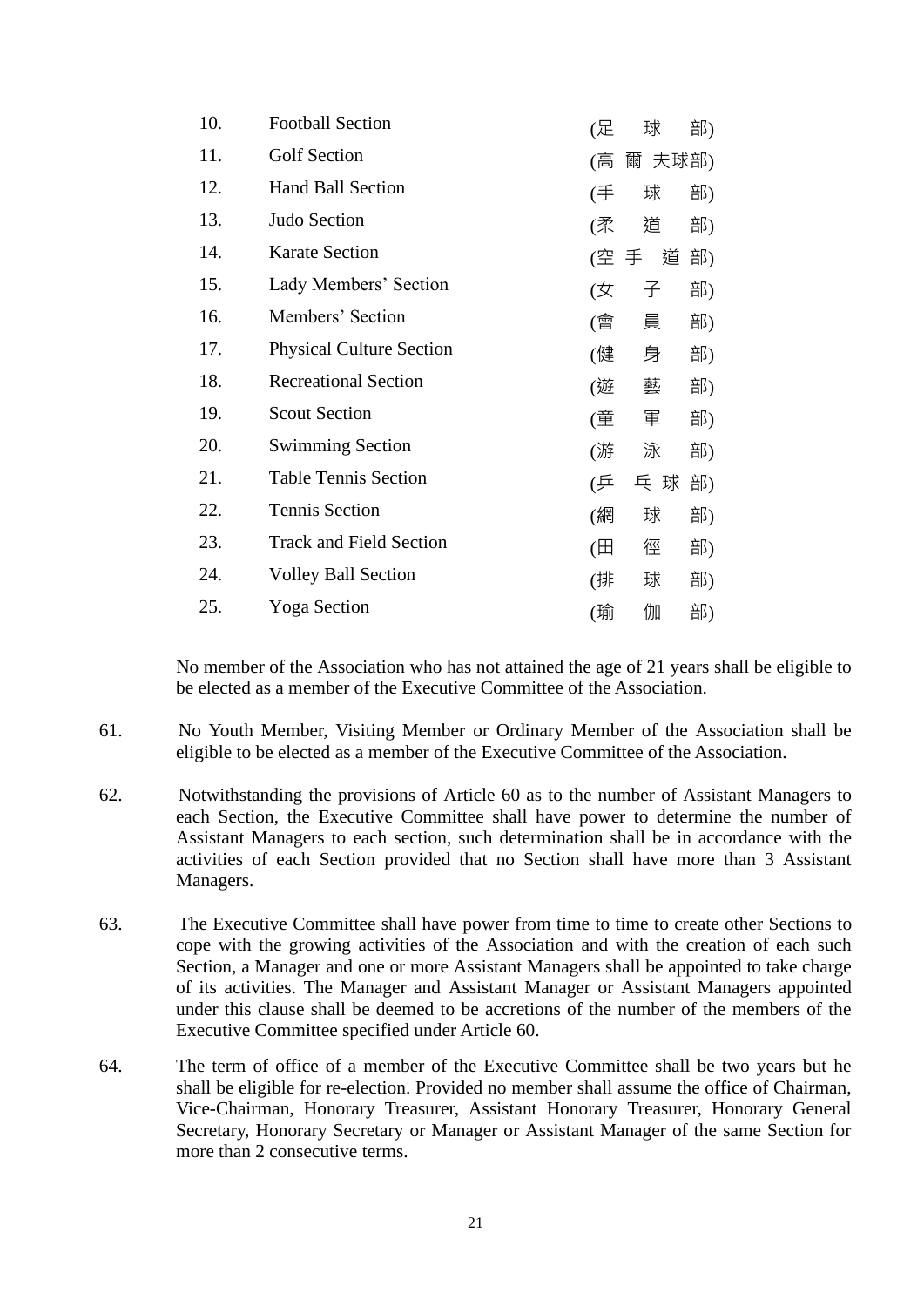| <b>Football Section</b>         | (足           | 球   | 部)                                           |
|---------------------------------|--------------|-----|----------------------------------------------|
| <b>Golf Section</b>             | (高)          |     |                                              |
| <b>Hand Ball Section</b>        | (手           | 球   | 部)                                           |
| Judo Section                    |              | 道   | 部)                                           |
| <b>Karate Section</b>           |              |     | 部)                                           |
| Lady Members' Section           | (女           | 子   | 部)                                           |
| Members' Section                |              | 員   | 部)                                           |
| <b>Physical Culture Section</b> | (健           | 身   | 部)                                           |
| <b>Recreational Section</b>     |              | 藝   | 部)                                           |
| <b>Scout Section</b>            |              | 軍   | 部)                                           |
| <b>Swimming Section</b>         | (游           | 泳   | 部)                                           |
| <b>Table Tennis Section</b>     | (乒           | 乓 球 | 部)                                           |
| <b>Tennis Section</b>           | (網           | 球   | 部)                                           |
| <b>Track and Field Section</b>  | $(\boxplus)$ | 徑   | 部)                                           |
| <b>Volley Ball Section</b>      | (排           | 球   | 部)                                           |
| <b>Yoga Section</b>             | (瑜           | 伽   | 部)                                           |
|                                 |              |     | 爾 夫球部)<br>(柔<br>道<br>(空 手<br>(會<br>(遊<br>(童) |

No member of the Association who has not attained the age of 21 years shall be eligible to be elected as a member of the Executive Committee of the Association.

- 61. No Youth Member, Visiting Member or Ordinary Member of the Association shall be eligible to be elected as a member of the Executive Committee of the Association.
- 62. Notwithstanding the provisions of Article 60 as to the number of Assistant Managers to each Section, the Executive Committee shall have power to determine the number of Assistant Managers to each section, such determination shall be in accordance with the activities of each Section provided that no Section shall have more than 3 Assistant Managers.
- 63. The Executive Committee shall have power from time to time to create other Sections to cope with the growing activities of the Association and with the creation of each such Section, a Manager and one or more Assistant Managers shall be appointed to take charge of its activities. The Manager and Assistant Manager or Assistant Managers appointed under this clause shall be deemed to be accretions of the number of the members of the Executive Committee specified under Article 60.
- 64. The term of office of a member of the Executive Committee shall be two years but he shall be eligible for re-election. Provided no member shall assume the office of Chairman, Vice-Chairman, Honorary Treasurer, Assistant Honorary Treasurer, Honorary General Secretary, Honorary Secretary or Manager or Assistant Manager of the same Section for more than 2 consecutive terms.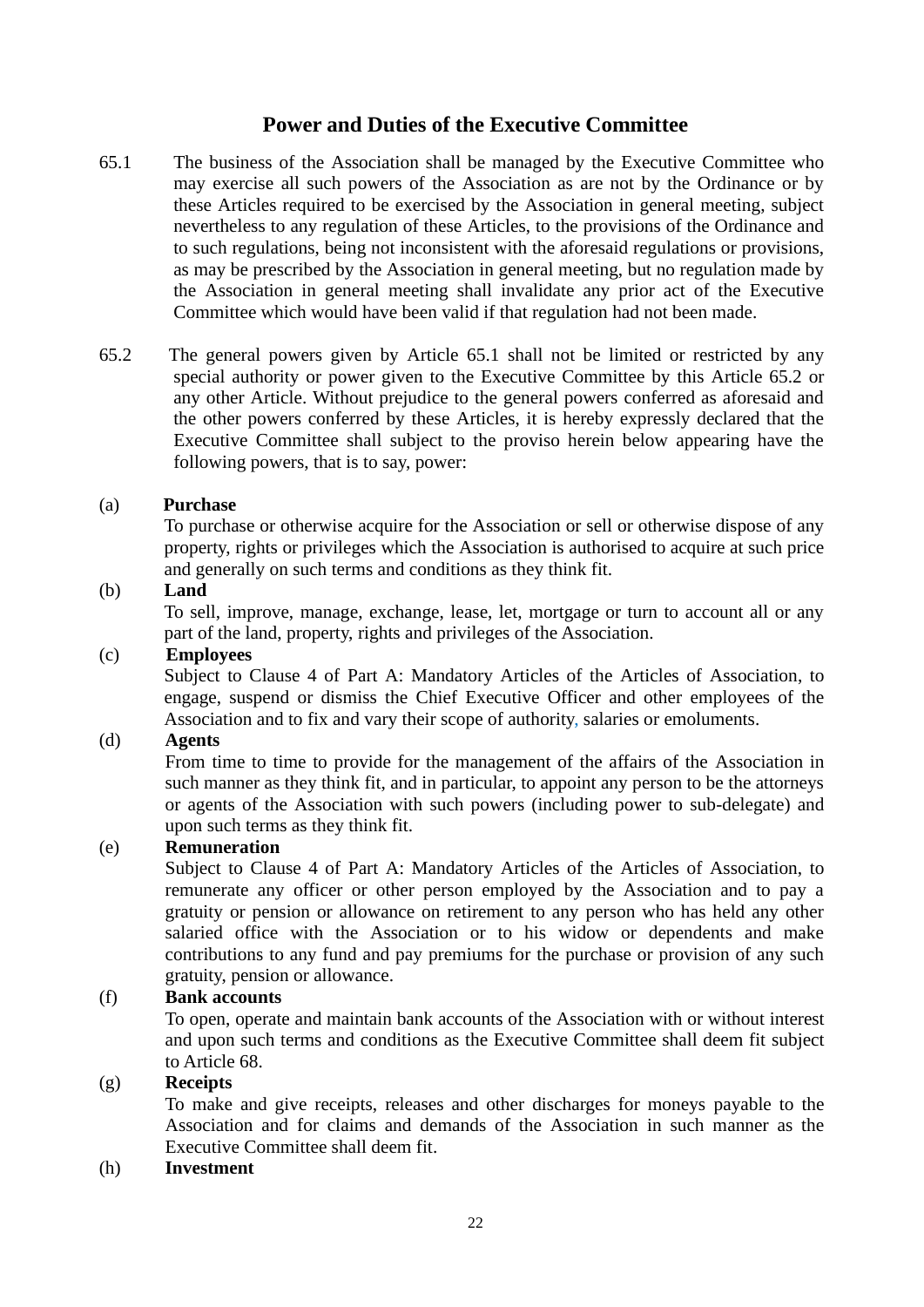### **Power and Duties of the Executive Committee**

- 65.1 The business of the Association shall be managed by the Executive Committee who may exercise all such powers of the Association as are not by the Ordinance or by these Articles required to be exercised by the Association in general meeting, subject nevertheless to any regulation of these Articles, to the provisions of the Ordinance and to such regulations, being not inconsistent with the aforesaid regulations or provisions, as may be prescribed by the Association in general meeting, but no regulation made by the Association in general meeting shall invalidate any prior act of the Executive Committee which would have been valid if that regulation had not been made.
- 65.2 The general powers given by Article 65.1 shall not be limited or restricted by any special authority or power given to the Executive Committee by this Article 65.2 or any other Article. Without prejudice to the general powers conferred as aforesaid and the other powers conferred by these Articles, it is hereby expressly declared that the Executive Committee shall subject to the proviso herein below appearing have the following powers, that is to say, power:

#### (a) **Purchase**

To purchase or otherwise acquire for the Association or sell or otherwise dispose of any property, rights or privileges which the Association is authorised to acquire at such price and generally on such terms and conditions as they think fit.

#### (b) **Land**

To sell, improve, manage, exchange, lease, let, mortgage or turn to account all or any part of the land, property, rights and privileges of the Association.

#### (c) **Employees**

Subject to Clause 4 of Part A: Mandatory Articles of the Articles of Association, to engage, suspend or dismiss the Chief Executive Officer and other employees of the Association and to fix and vary their scope of authority, salaries or emoluments.

#### (d) **Agents**

From time to time to provide for the management of the affairs of the Association in such manner as they think fit, and in particular, to appoint any person to be the attorneys or agents of the Association with such powers (including power to sub-delegate) and upon such terms as they think fit.

#### (e) **Remuneration**

Subject to Clause 4 of Part A: Mandatory Articles of the Articles of Association, to remunerate any officer or other person employed by the Association and to pay a gratuity or pension or allowance on retirement to any person who has held any other salaried office with the Association or to his widow or dependents and make contributions to any fund and pay premiums for the purchase or provision of any such gratuity, pension or allowance.

#### (f) **Bank accounts**

To open, operate and maintain bank accounts of the Association with or without interest and upon such terms and conditions as the Executive Committee shall deem fit subject to Article 68.

#### (g) **Receipts**

To make and give receipts, releases and other discharges for moneys payable to the Association and for claims and demands of the Association in such manner as the Executive Committee shall deem fit.

#### (h) **Investment**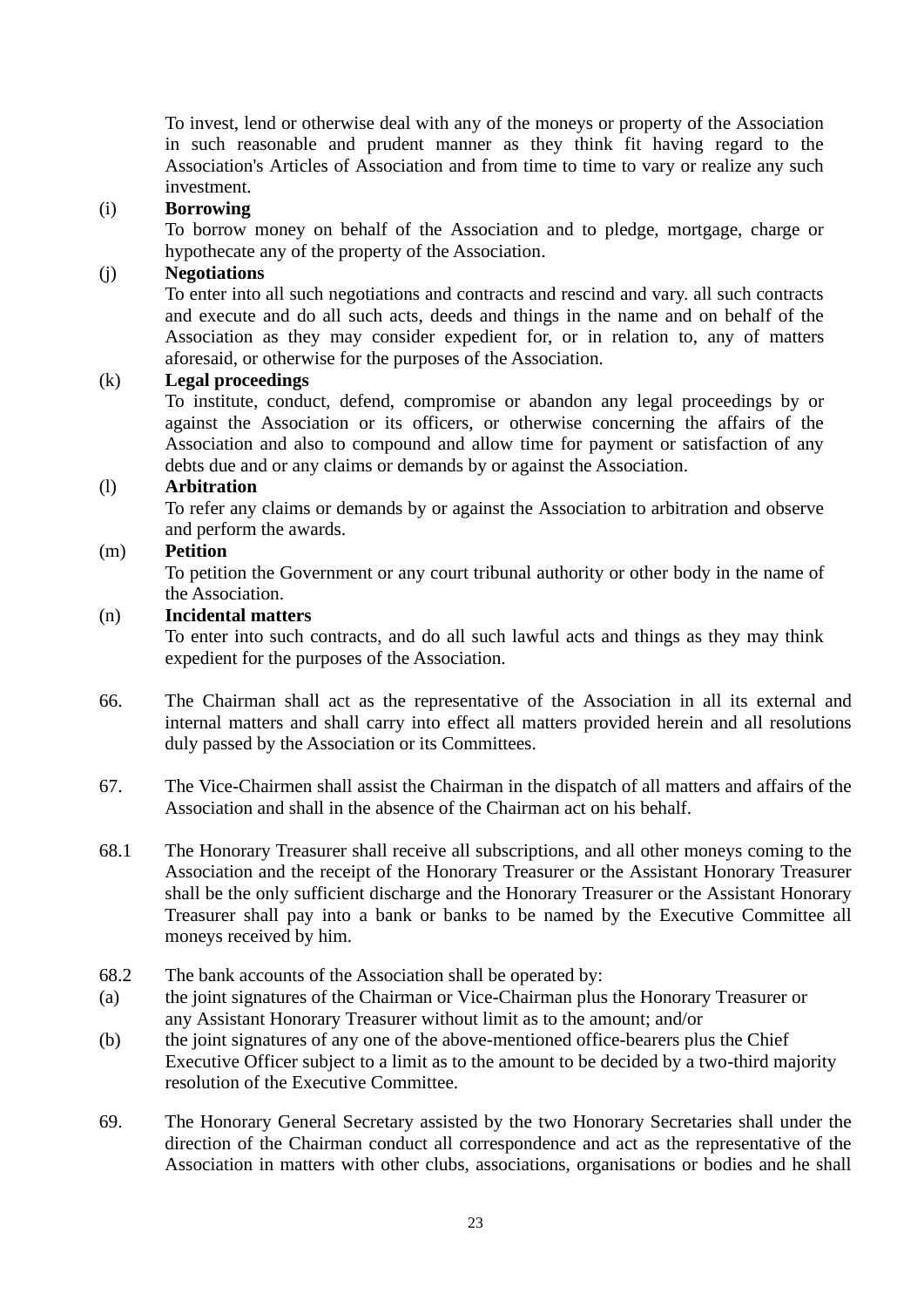To invest, lend or otherwise deal with any of the moneys or property of the Association in such reasonable and prudent manner as they think fit having regard to the Association's Articles of Association and from time to time to vary or realize any such investment.

#### (i) **Borrowing**

To borrow money on behalf of the Association and to pledge, mortgage, charge or hypothecate any of the property of the Association.

#### (j) **Negotiations**

To enter into all such negotiations and contracts and rescind and vary. all such contracts and execute and do all such acts, deeds and things in the name and on behalf of the Association as they may consider expedient for, or in relation to, any of matters aforesaid, or otherwise for the purposes of the Association.

#### (k) **Legal proceedings**

To institute, conduct, defend, compromise or abandon any legal proceedings by or against the Association or its officers, or otherwise concerning the affairs of the Association and also to compound and allow time for payment or satisfaction of any debts due and or any claims or demands by or against the Association.

#### (l) **Arbitration**

To refer any claims or demands by or against the Association to arbitration and observe and perform the awards.

#### (m) **Petition**

To petition the Government or any court tribunal authority or other body in the name of the Association.

#### (n) **Incidental matters**

To enter into such contracts, and do all such lawful acts and things as they may think expedient for the purposes of the Association.

- 66. The Chairman shall act as the representative of the Association in all its external and internal matters and shall carry into effect all matters provided herein and all resolutions duly passed by the Association or its Committees.
- 67. The Vice-Chairmen shall assist the Chairman in the dispatch of all matters and affairs of the Association and shall in the absence of the Chairman act on his behalf.
- 68.1 The Honorary Treasurer shall receive all subscriptions, and all other moneys coming to the Association and the receipt of the Honorary Treasurer or the Assistant Honorary Treasurer shall be the only sufficient discharge and the Honorary Treasurer or the Assistant Honorary Treasurer shall pay into a bank or banks to be named by the Executive Committee all moneys received by him.
- 68.2 The bank accounts of the Association shall be operated by:
- (a) the joint signatures of the Chairman or Vice-Chairman plus the Honorary Treasurer or any Assistant Honorary Treasurer without limit as to the amount; and/or
- (b) the joint signatures of any one of the above-mentioned office-bearers plus the Chief Executive Officer subject to a limit as to the amount to be decided by a two-third majority resolution of the Executive Committee.
- 69. The Honorary General Secretary assisted by the two Honorary Secretaries shall under the direction of the Chairman conduct all correspondence and act as the representative of the Association in matters with other clubs, associations, organisations or bodies and he shall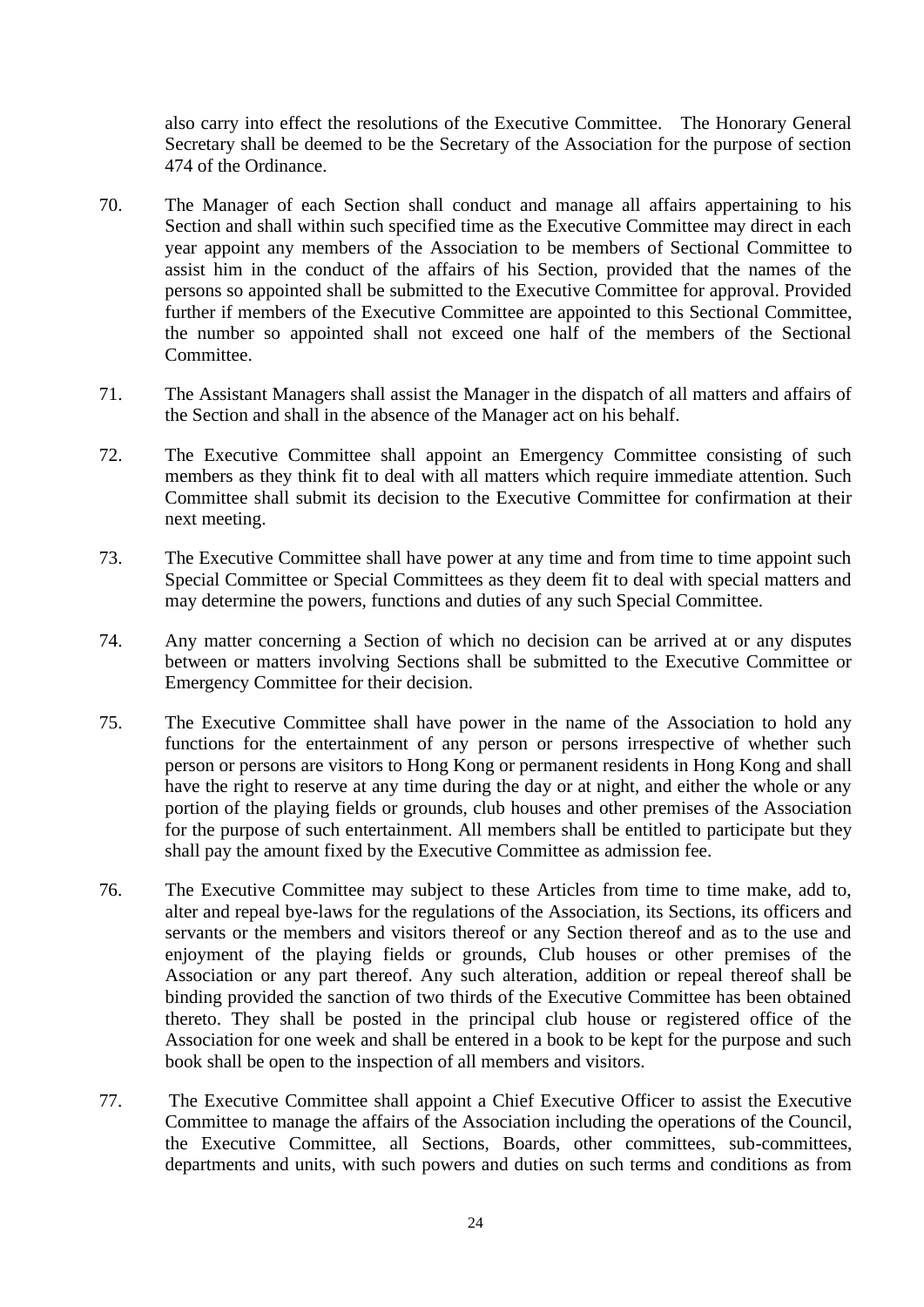also carry into effect the resolutions of the Executive Committee. The Honorary General Secretary shall be deemed to be the Secretary of the Association for the purpose of section 474 of the Ordinance.

- 70. The Manager of each Section shall conduct and manage all affairs appertaining to his Section and shall within such specified time as the Executive Committee may direct in each year appoint any members of the Association to be members of Sectional Committee to assist him in the conduct of the affairs of his Section, provided that the names of the persons so appointed shall be submitted to the Executive Committee for approval. Provided further if members of the Executive Committee are appointed to this Sectional Committee, the number so appointed shall not exceed one half of the members of the Sectional Committee.
- 71. The Assistant Managers shall assist the Manager in the dispatch of all matters and affairs of the Section and shall in the absence of the Manager act on his behalf.
- 72. The Executive Committee shall appoint an Emergency Committee consisting of such members as they think fit to deal with all matters which require immediate attention. Such Committee shall submit its decision to the Executive Committee for confirmation at their next meeting.
- 73. The Executive Committee shall have power at any time and from time to time appoint such Special Committee or Special Committees as they deem fit to deal with special matters and may determine the powers, functions and duties of any such Special Committee.
- 74. Any matter concerning a Section of which no decision can be arrived at or any disputes between or matters involving Sections shall be submitted to the Executive Committee or Emergency Committee for their decision.
- 75. The Executive Committee shall have power in the name of the Association to hold any functions for the entertainment of any person or persons irrespective of whether such person or persons are visitors to Hong Kong or permanent residents in Hong Kong and shall have the right to reserve at any time during the day or at night, and either the whole or any portion of the playing fields or grounds, club houses and other premises of the Association for the purpose of such entertainment. All members shall be entitled to participate but they shall pay the amount fixed by the Executive Committee as admission fee.
- 76. The Executive Committee may subject to these Articles from time to time make, add to, alter and repeal bye-laws for the regulations of the Association, its Sections, its officers and servants or the members and visitors thereof or any Section thereof and as to the use and enjoyment of the playing fields or grounds, Club houses or other premises of the Association or any part thereof. Any such alteration, addition or repeal thereof shall be binding provided the sanction of two thirds of the Executive Committee has been obtained thereto. They shall be posted in the principal club house or registered office of the Association for one week and shall be entered in a book to be kept for the purpose and such book shall be open to the inspection of all members and visitors.
- 77. The Executive Committee shall appoint a Chief Executive Officer to assist the Executive Committee to manage the affairs of the Association including the operations of the Council, the Executive Committee, all Sections, Boards, other committees, sub-committees, departments and units, with such powers and duties on such terms and conditions as from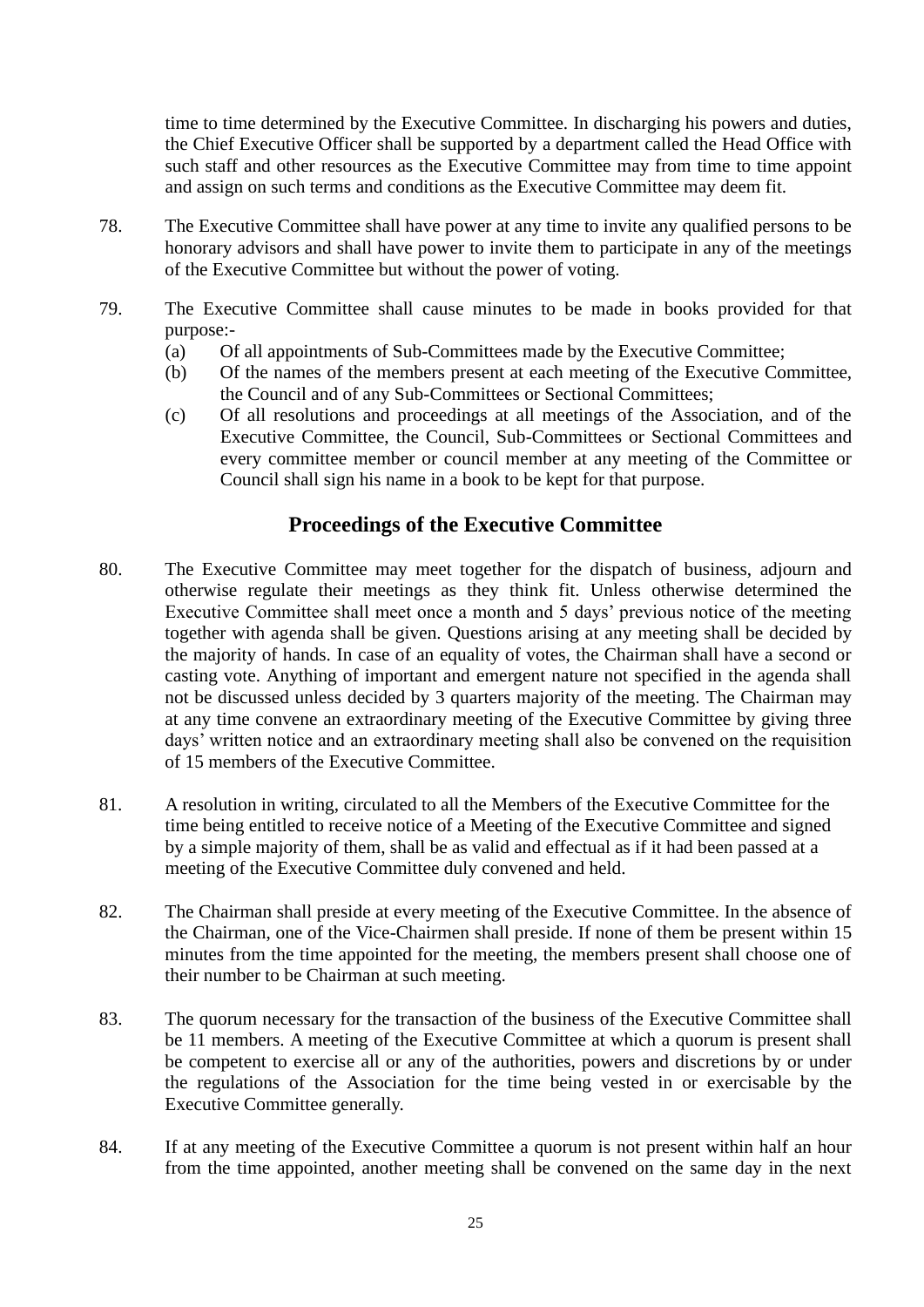time to time determined by the Executive Committee. In discharging his powers and duties, the Chief Executive Officer shall be supported by a department called the Head Office with such staff and other resources as the Executive Committee may from time to time appoint and assign on such terms and conditions as the Executive Committee may deem fit.

- 78. The Executive Committee shall have power at any time to invite any qualified persons to be honorary advisors and shall have power to invite them to participate in any of the meetings of the Executive Committee but without the power of voting.
- 79. The Executive Committee shall cause minutes to be made in books provided for that purpose:-
	- (a) Of all appointments of Sub-Committees made by the Executive Committee;
	- (b) Of the names of the members present at each meeting of the Executive Committee, the Council and of any Sub-Committees or Sectional Committees;
	- (c) Of all resolutions and proceedings at all meetings of the Association, and of the Executive Committee, the Council, Sub-Committees or Sectional Committees and every committee member or council member at any meeting of the Committee or Council shall sign his name in a book to be kept for that purpose.

### **Proceedings of the Executive Committee**

- 80. The Executive Committee may meet together for the dispatch of business, adjourn and otherwise regulate their meetings as they think fit. Unless otherwise determined the Executive Committee shall meet once a month and 5 days' previous notice of the meeting together with agenda shall be given. Questions arising at any meeting shall be decided by the majority of hands. In case of an equality of votes, the Chairman shall have a second or casting vote. Anything of important and emergent nature not specified in the agenda shall not be discussed unless decided by 3 quarters majority of the meeting. The Chairman may at any time convene an extraordinary meeting of the Executive Committee by giving three days' written notice and an extraordinary meeting shall also be convened on the requisition of 15 members of the Executive Committee.
- 81. A resolution in writing, circulated to all the Members of the Executive Committee for the time being entitled to receive notice of a Meeting of the Executive Committee and signed by a simple majority of them, shall be as valid and effectual as if it had been passed at a meeting of the Executive Committee duly convened and held.
- 82. The Chairman shall preside at every meeting of the Executive Committee. In the absence of the Chairman, one of the Vice-Chairmen shall preside. If none of them be present within 15 minutes from the time appointed for the meeting, the members present shall choose one of their number to be Chairman at such meeting.
- 83. The quorum necessary for the transaction of the business of the Executive Committee shall be 11 members. A meeting of the Executive Committee at which a quorum is present shall be competent to exercise all or any of the authorities, powers and discretions by or under the regulations of the Association for the time being vested in or exercisable by the Executive Committee generally.
- 84. If at any meeting of the Executive Committee a quorum is not present within half an hour from the time appointed, another meeting shall be convened on the same day in the next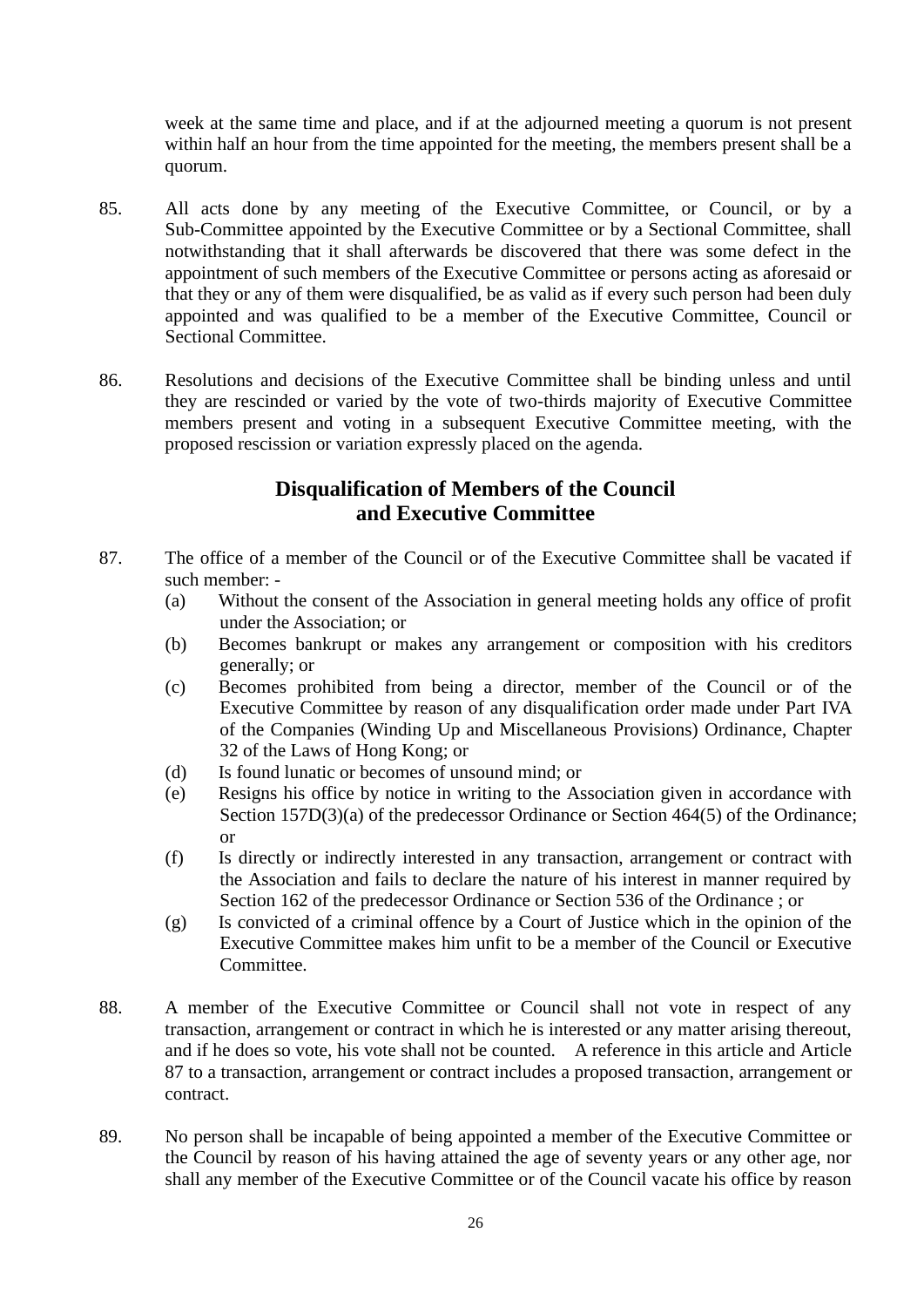week at the same time and place, and if at the adjourned meeting a quorum is not present within half an hour from the time appointed for the meeting, the members present shall be a quorum.

- 85. All acts done by any meeting of the Executive Committee, or Council, or by a Sub-Committee appointed by the Executive Committee or by a Sectional Committee, shall notwithstanding that it shall afterwards be discovered that there was some defect in the appointment of such members of the Executive Committee or persons acting as aforesaid or that they or any of them were disqualified, be as valid as if every such person had been duly appointed and was qualified to be a member of the Executive Committee, Council or Sectional Committee.
- 86. Resolutions and decisions of the Executive Committee shall be binding unless and until they are rescinded or varied by the vote of two-thirds majority of Executive Committee members present and voting in a subsequent Executive Committee meeting, with the proposed rescission or variation expressly placed on the agenda.

## **Disqualification of Members of the Council and Executive Committee**

- 87. The office of a member of the Council or of the Executive Committee shall be vacated if such member: -
	- (a) Without the consent of the Association in general meeting holds any office of profit under the Association; or
	- (b) Becomes bankrupt or makes any arrangement or composition with his creditors generally; or
	- (c) Becomes prohibited from being a director, member of the Council or of the Executive Committee by reason of any disqualification order made under Part IVA of the Companies (Winding Up and Miscellaneous Provisions) Ordinance, Chapter 32 of the Laws of Hong Kong; or
	- (d) Is found lunatic or becomes of unsound mind; or
	- (e) Resigns his office by notice in writing to the Association given in accordance with Section 157D(3)(a) of the predecessor Ordinance or Section 464(5) of the Ordinance; or
	- (f) Is directly or indirectly interested in any transaction, arrangement or contract with the Association and fails to declare the nature of his interest in manner required by Section 162 of the predecessor Ordinance or Section 536 of the Ordinance ; or
	- (g) Is convicted of a criminal offence by a Court of Justice which in the opinion of the Executive Committee makes him unfit to be a member of the Council or Executive Committee.
- 88. A member of the Executive Committee or Council shall not vote in respect of any transaction, arrangement or contract in which he is interested or any matter arising thereout, and if he does so vote, his vote shall not be counted. A reference in this article and Article 87 to a transaction, arrangement or contract includes a proposed transaction, arrangement or contract.
- 89. No person shall be incapable of being appointed a member of the Executive Committee or the Council by reason of his having attained the age of seventy years or any other age, nor shall any member of the Executive Committee or of the Council vacate his office by reason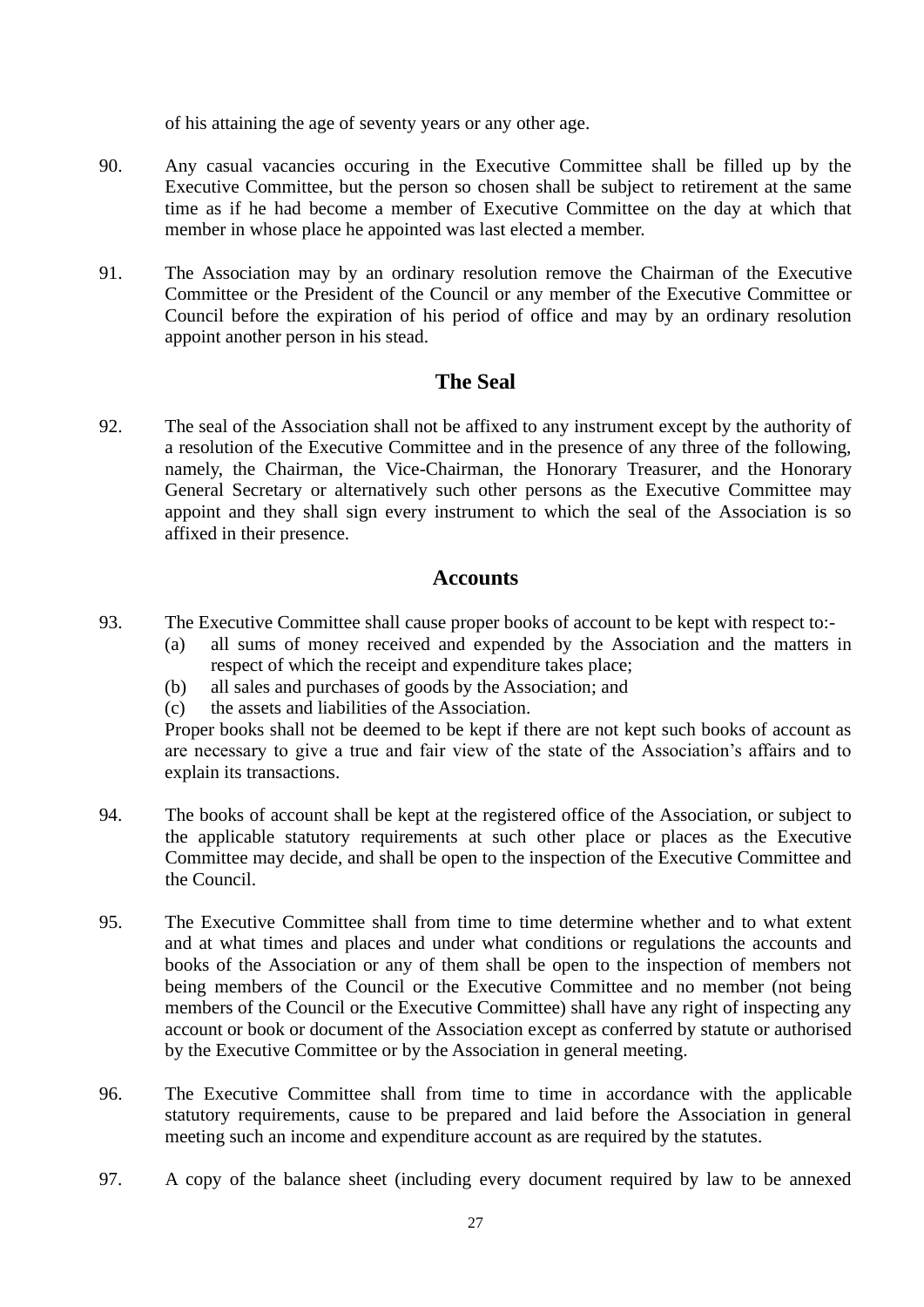of his attaining the age of seventy years or any other age.

- 90. Any casual vacancies occuring in the Executive Committee shall be filled up by the Executive Committee, but the person so chosen shall be subject to retirement at the same time as if he had become a member of Executive Committee on the day at which that member in whose place he appointed was last elected a member.
- 91. The Association may by an ordinary resolution remove the Chairman of the Executive Committee or the President of the Council or any member of the Executive Committee or Council before the expiration of his period of office and may by an ordinary resolution appoint another person in his stead.

### **The Seal**

92. The seal of the Association shall not be affixed to any instrument except by the authority of a resolution of the Executive Committee and in the presence of any three of the following, namely, the Chairman, the Vice-Chairman, the Honorary Treasurer, and the Honorary General Secretary or alternatively such other persons as the Executive Committee may appoint and they shall sign every instrument to which the seal of the Association is so affixed in their presence.

### **Accounts**

- 93. The Executive Committee shall cause proper books of account to be kept with respect to:-
	- (a) all sums of money received and expended by the Association and the matters in respect of which the receipt and expenditure takes place;
	- (b) all sales and purchases of goods by the Association; and
	- (c) the assets and liabilities of the Association.

Proper books shall not be deemed to be kept if there are not kept such books of account as are necessary to give a true and fair view of the state of the Association's affairs and to explain its transactions.

- 94. The books of account shall be kept at the registered office of the Association, or subject to the applicable statutory requirements at such other place or places as the Executive Committee may decide, and shall be open to the inspection of the Executive Committee and the Council.
- 95. The Executive Committee shall from time to time determine whether and to what extent and at what times and places and under what conditions or regulations the accounts and books of the Association or any of them shall be open to the inspection of members not being members of the Council or the Executive Committee and no member (not being members of the Council or the Executive Committee) shall have any right of inspecting any account or book or document of the Association except as conferred by statute or authorised by the Executive Committee or by the Association in general meeting.
- 96. The Executive Committee shall from time to time in accordance with the applicable statutory requirements, cause to be prepared and laid before the Association in general meeting such an income and expenditure account as are required by the statutes.
- 97. A copy of the balance sheet (including every document required by law to be annexed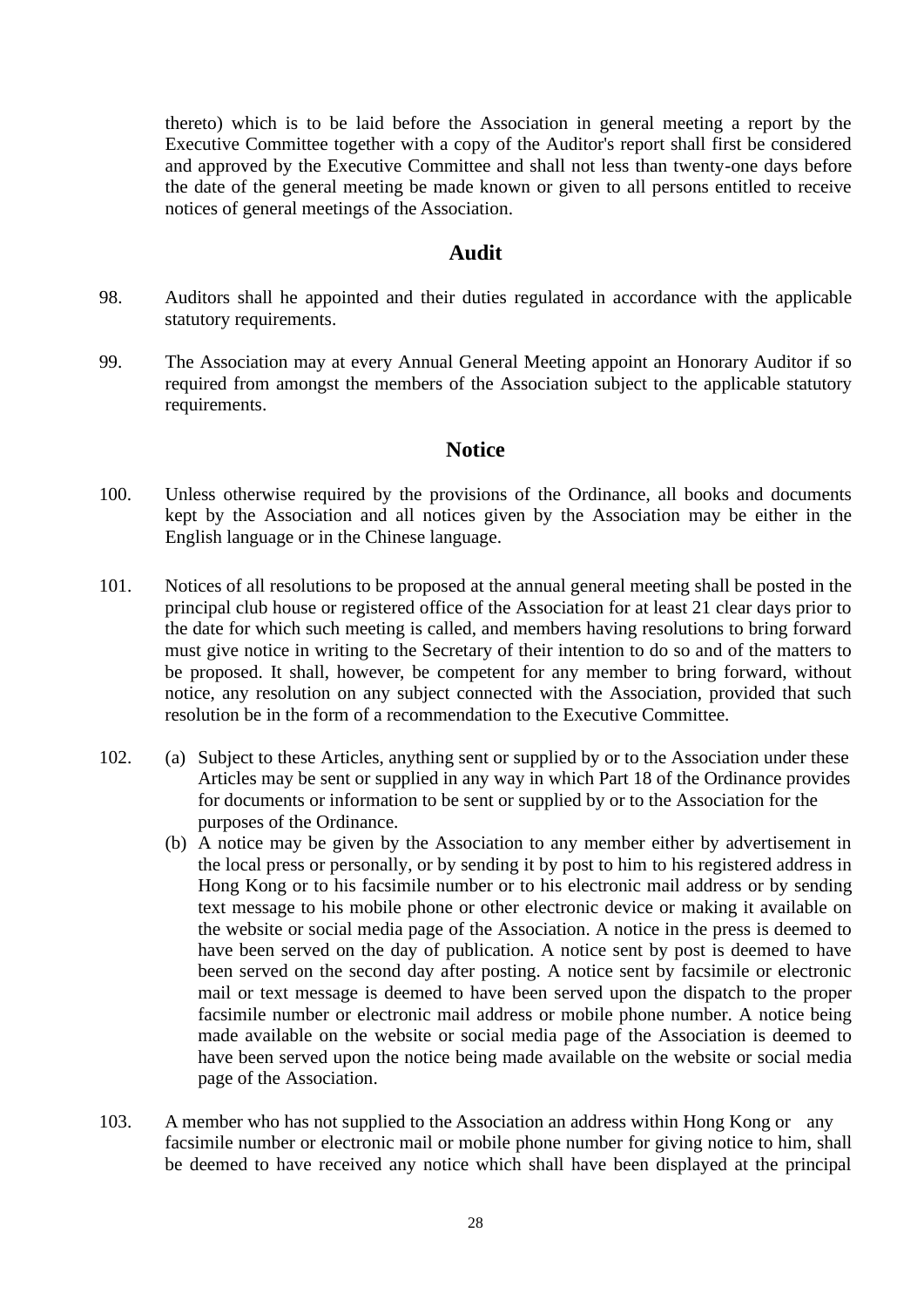thereto) which is to be laid before the Association in general meeting a report by the Executive Committee together with a copy of the Auditor's report shall first be considered and approved by the Executive Committee and shall not less than twenty-one days before the date of the general meeting be made known or given to all persons entitled to receive notices of general meetings of the Association.

### **Audit**

- 98. Auditors shall he appointed and their duties regulated in accordance with the applicable statutory requirements.
- 99. The Association may at every Annual General Meeting appoint an Honorary Auditor if so required from amongst the members of the Association subject to the applicable statutory requirements.

### **Notice**

- 100. Unless otherwise required by the provisions of the Ordinance, all books and documents kept by the Association and all notices given by the Association may be either in the English language or in the Chinese language.
- 101. Notices of all resolutions to be proposed at the annual general meeting shall be posted in the principal club house or registered office of the Association for at least 21 clear days prior to the date for which such meeting is called, and members having resolutions to bring forward must give notice in writing to the Secretary of their intention to do so and of the matters to be proposed. It shall, however, be competent for any member to bring forward, without notice, any resolution on any subject connected with the Association, provided that such resolution be in the form of a recommendation to the Executive Committee.
- 102. (a) Subject to these Articles, anything sent or supplied by or to the Association under these Articles may be sent or supplied in any way in which Part 18 of the Ordinance provides for documents or information to be sent or supplied by or to the Association for the purposes of the Ordinance.
	- (b) A notice may be given by the Association to any member either by advertisement in the local press or personally, or by sending it by post to him to his registered address in Hong Kong or to his facsimile number or to his electronic mail address or by sending text message to his mobile phone or other electronic device or making it available on the website or social media page of the Association. A notice in the press is deemed to have been served on the day of publication. A notice sent by post is deemed to have been served on the second day after posting. A notice sent by facsimile or electronic mail or text message is deemed to have been served upon the dispatch to the proper facsimile number or electronic mail address or mobile phone number. A notice being made available on the website or social media page of the Association is deemed to have been served upon the notice being made available on the website or social media page of the Association.
- 103. A member who has not supplied to the Association an address within Hong Kong or any facsimile number or electronic mail or mobile phone number for giving notice to him, shall be deemed to have received any notice which shall have been displayed at the principal